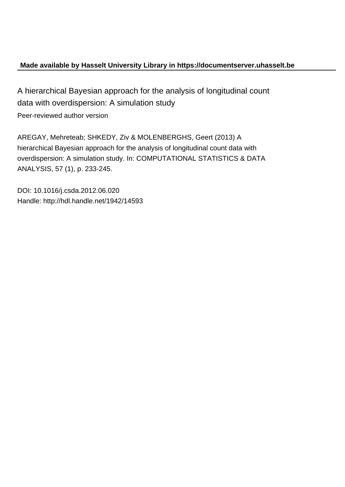# **Made available by Hasselt University Library in https://documentserver.uhasselt.be**

A hierarchical Bayesian approach for the analysis of longitudinal count data with overdispersion: A simulation study Peer-reviewed author version

AREGAY, Mehreteab; SHKEDY, Ziv & MOLENBERGHS, Geert (2013) A hierarchical Bayesian approach for the analysis of longitudinal count data with overdispersion: A simulation study. In: COMPUTATIONAL STATISTICS & DATA ANALYSIS, 57 (1), p. 233-245.

DOI: 10.1016/j.csda.2012.06.020 Handle: http://hdl.handle.net/1942/14593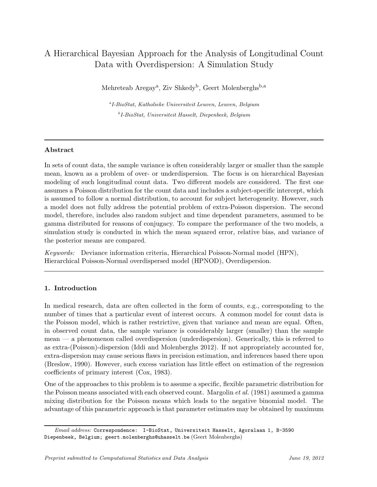# A Hierarchical Bayesian Approach for the Analysis of Longitudinal Count Data with Overdispersion: A Simulation Study

Mehreteab Aregay<sup>a</sup>, Ziv Shkedy<sup>b</sup>, Geert Molenberghs<sup>b,a</sup>

a I-BioStat, Katholieke Universiteit Leuven, Leuven, Belgium b I-BioStat, Universiteit Hasselt, Diepenbeek, Belgium

## Abstract

In sets of count data, the sample variance is often considerably larger or smaller than the sample mean, known as a problem of over- or underdispersion. The focus is on hierarchical Bayesian modeling of such longitudinal count data. Two different models are considered. The first one assumes a Poisson distribution for the count data and includes a subject-specific intercept, which is assumed to follow a normal distribution, to account for subject heterogeneity. However, such a model does not fully address the potential problem of extra-Poisson dispersion. The second model, therefore, includes also random subject and time dependent parameters, assumed to be gamma distributed for reasons of conjugacy. To compare the performance of the two models, a simulation study is conducted in which the mean squared error, relative bias, and variance of the posterior means are compared.

Keywords: Deviance information criteria, Hierarchical Poisson-Normal model (HPN), Hierarchical Poisson-Normal overdispersed model (HPNOD), Overdispersion.

# 1. Introduction

In medical research, data are often collected in the form of counts, e.g., corresponding to the number of times that a particular event of interest occurs. A common model for count data is the Poisson model, which is rather restrictive, given that variance and mean are equal. Often, in observed count data, the sample variance is considerably larger (smaller) than the sample mean — a phenomenon called overdispersion (underdispersion). Generically, this is referred to as extra-(Poisson)-dispersion (Iddi and Molenberghs 2012). If not appropriately accounted for, extra-dispersion may cause serious flaws in precision estimation, and inferences based there upon (Breslow, 1990). However, such excess variation has little effect on estimation of the regression coefficients of primary interest (Cox, 1983).

One of the approaches to this problem is to assume a specific, flexible parametric distribution for the Poisson means associated with each observed count. Margolin *et al.* (1981) assumed a gamma mixing distribution for the Poisson means which leads to the negative binomial model. The advantage of this parametric approach is that parameter estimates may be obtained by maximum

Email address: Correspondence: I-BioStat, Universiteit Hasselt, Agoralaan 1, B-3590 Diepenbeek, Belgium; geert.molenberghs@uhasselt.be (Geert Molenberghs)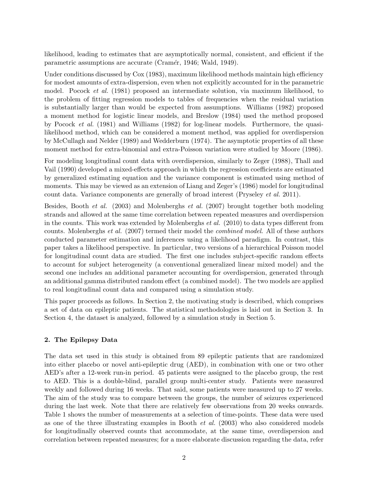likelihood, leading to estimates that are asymptotically normal, consistent, and efficient if the parametric assumptions are accurate (Cramér, 1946; Wald, 1949).

Under conditions discussed by Cox (1983), maximum likelihood methods maintain high efficiency for modest amounts of extra-dispersion, even when not explicitly accounted for in the parametric model. Pocock et al. (1981) proposed an intermediate solution, via maximum likelihood, to the problem of fitting regression models to tables of frequencies when the residual variation is substantially larger than would be expected from assumptions. Williams (1982) proposed a moment method for logistic linear models, and Breslow (1984) used the method proposed by Pocock et al. (1981) and Williams (1982) for log-linear models. Furthermore, the quasilikelihood method, which can be considered a moment method, was applied for overdispersion by McCullagh and Nelder (1989) and Wedderburn (1974). The asymptotic properties of all these moment method for extra-binomial and extra-Poisson variation were studied by Moore (1986).

For modeling longitudinal count data with overdispersion, similarly to Zeger (1988), Thall and Vail (1990) developed a mixed-effects approach in which the regression coefficients are estimated by generalized estimating equation and the variance component is estimated using method of moments. This may be viewed as an extension of Liang and Zeger's (1986) model for longitudinal count data. Variance components are generally of broad interest (Pryseley et al. 2011).

Besides, Booth et al. (2003) and Molenberghs et al. (2007) brought together both modeling strands and allowed at the same time correlation between repeated measures and overdispersion in the counts. This work was extended by Molenberghs et al. (2010) to data types different from counts. Molenberghs et al. (2007) termed their model the combined model. All of these authors conducted parameter estimation and inferences using a likelihood paradigm. In contrast, this paper takes a likelihood perspective. In particular, two versions of a hierarchical Poisson model for longitudinal count data are studied. The first one includes subject-specific random effects to account for subject heterogeneity (a conventional generalized linear mixed model) and the second one includes an additional parameter accounting for overdispersion, generated through an additional gamma distributed random effect (a combined model). The two models are applied to real longitudinal count data and compared using a simulation study.

This paper proceeds as follows. In Section 2, the motivating study is described, which comprises a set of data on epileptic patients. The statistical methodologies is laid out in Section 3. In Section 4, the dataset is analyzed, followed by a simulation study in Section 5.

# 2. The Epilepsy Data

The data set used in this study is obtained from 89 epileptic patients that are randomized into either placebo or novel anti-epileptic drug (AED), in combination with one or two other AED's after a 12-week run-in period. 45 patients were assigned to the placebo group, the rest to AED. This is a double-blind, parallel group multi-center study. Patients were measured weekly and followed during 16 weeks. That said, some patients were measured up to 27 weeks. The aim of the study was to compare between the groups, the number of seizures experienced during the last week. Note that there are relatively few observations from 20 weeks onwards. Table 1 shows the number of measurements at a selection of time-points. These data were used as one of the three illustrating examples in Booth et al. (2003) who also considered models for longitudinally observed counts that accommodate, at the same time, overdispersion and correlation between repeated measures; for a more elaborate discussion regarding the data, refer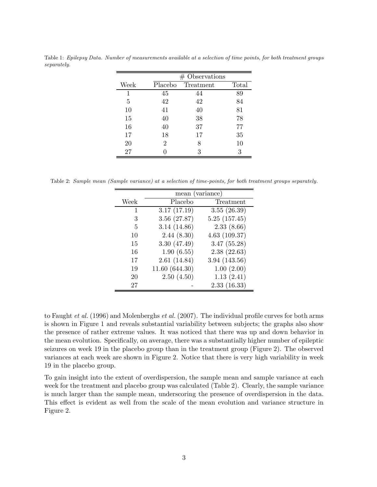|      | $#$ Observations |           |       |  |  |  |  |  |
|------|------------------|-----------|-------|--|--|--|--|--|
| Week | Placebo          | Treatment | Total |  |  |  |  |  |
| 1    | 45               | 44        | 89    |  |  |  |  |  |
| 5    | 42               | 42        | 84    |  |  |  |  |  |
| 10   | 41               | 40        | 81    |  |  |  |  |  |
| 15   | 40               | 38        | 78    |  |  |  |  |  |
| 16   | 40               | 37        | 77    |  |  |  |  |  |
| 17   | 18               | 17        | 35    |  |  |  |  |  |
| 20   | 2                | 8         | 10    |  |  |  |  |  |
| 27   |                  | 3         | 3     |  |  |  |  |  |

Table 1: Epilepsy Data. Number of measurements available at a selection of time points, for both treatment groups separately.

Table 2: Sample mean (Sample variance) at a selection of time-points, for both treatment groups separately.

|      | mean (variance) |              |
|------|-----------------|--------------|
| Week | Placebo         | Treatment    |
| 1    | 3.17(17.19)     | 3.55(26.39)  |
| 3    | 3.56(27.87)     | 5.25(157.45) |
| 5    | 3.14(14.86)     | 2.33(8.66)   |
| 10   | 2.44(8.30)      | 4.63(109.37) |
| 15   | 3.30(47.49)     | 3.47(55.28)  |
| 16   | 1.90(6.55)      | 2.38(22.63)  |
| 17   | 2.61(14.84)     | 3.94(143.56) |
| 19   | 11.60 (644.30)  | 1.00(2.00)   |
| 20   | 2.50(4.50)      | 1.13(2.41)   |
| 27   |                 | 2.33(16.33)  |

to Faught et al. (1996) and Molenberghs et al. (2007). The individual profile curves for both arms is shown in Figure 1 and reveals substantial variability between subjects; the graphs also show the presence of rather extreme values. It was noticed that there was up and down behavior in the mean evolution. Specifically, on average, there was a substantially higher number of epileptic seizures on week 19 in the placebo group than in the treatment group (Figure 2). The observed variances at each week are shown in Figure 2. Notice that there is very high variability in week 19 in the placebo group.

To gain insight into the extent of overdispersion, the sample mean and sample variance at each week for the treatment and placebo group was calculated (Table 2). Clearly, the sample variance is much larger than the sample mean, underscoring the presence of overdispersion in the data. This effect is evident as well from the scale of the mean evolution and variance structure in Figure 2.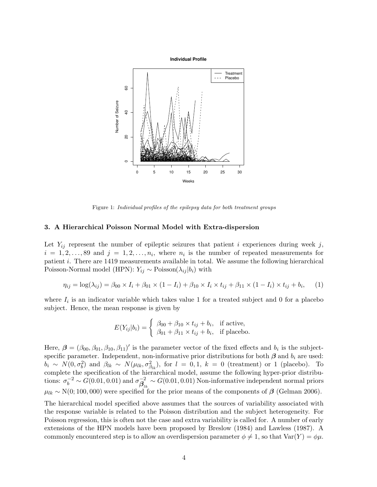Individual Profile



Figure 1: Individual profiles of the epilepsy data for both treatment groups

#### 3. A Hierarchical Poisson Normal Model with Extra-dispersion

Let  $Y_{ij}$  represent the number of epileptic seizures that patient i experiences during week j,  $i = 1, 2, \ldots, 89$  and  $j = 1, 2, \ldots, n_i$ , where  $n_i$  is the number of repeated measurements for patient i. There are 1419 measurements available in total. We assume the following hierarchical Poisson-Normal model (HPN):  $Y_{ij} \sim \text{Poisson}(\lambda_{ij} | b_i)$  with

$$
\eta_{ij} = \log(\lambda_{ij}) = \beta_{00} \times I_i + \beta_{01} \times (1 - I_i) + \beta_{10} \times I_i \times t_{ij} + \beta_{11} \times (1 - I_i) \times t_{ij} + b_i, \quad (1)
$$

where  $I_i$  is an indicator variable which takes value 1 for a treated subject and 0 for a placebo subject. Hence, the mean response is given by

$$
E(Y_{ij}|b_i) = \begin{cases} \beta_{00} + \beta_{10} \times t_{ij} + b_i, & \text{if active,} \\ \beta_{01} + \beta_{11} \times t_{ij} + b_i, & \text{if placebo.} \end{cases}
$$

Here,  $\beta = (\beta_{00}, \beta_{01}, \beta_{10}, \beta_{11})'$  is the parameter vector of the fixed effects and  $b_i$  is the subjectspecific parameter. Independent, non-informative prior distributions for both  $\beta$  and  $b_i$  are used:  $b_i \sim N(0, \sigma_b^2)$  and  $\beta_{lk} \sim N(\mu_{lk}, \sigma_{\beta_{lk}}^2)$ , for  $l = 0, 1, k = 0$  (treatment) or 1 (placebo). To complete the specification of the hierarchical model, assume the following hyper-prior distributions:  $\sigma_b^{-2} \sim G(0.01, 0.01)$  and  $\sigma_{\beta}^{-2}$  $\beta_{lk}^{-2} \sim G(0.01, 0.01)$  Non-informative independent normal priors  $\mu_{lk} \sim N(0; 100, 000)$  were specified for the prior means of the components of  $\beta$  (Gelman 2006).

The hierarchical model specified above assumes that the sources of variability associated with the response variable is related to the Poisson distribution and the subject heterogeneity. For Poisson regression, this is often not the case and extra variability is called for. A number of early extensions of the HPN models have been proposed by Breslow (1984) and Lawless (1987). A commonly encountered step is to allow an overdispersion parameter  $\phi \neq 1$ , so that  $\text{Var}(Y) = \phi \mu$ .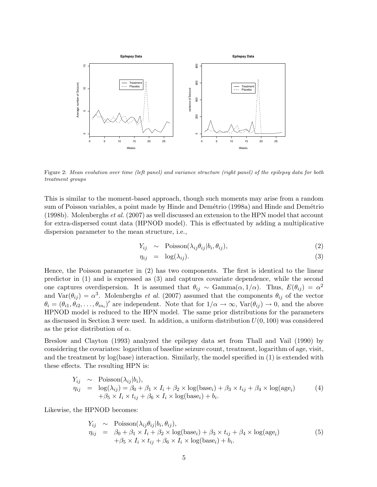

Figure 2: Mean evolution over time (left panel) and variance structure (right panel) of the epilepsy data for both treatment groups

This is similar to the moment-based approach, though such moments may arise from a random sum of Poisson variables, a point made by Hinde and Demétrio (1998a) and Hinde and Demétrio (1998b). Molenberghs et al. (2007) as well discussed an extension to the HPN model that account for extra-dispersed count data (HPNOD model). This is effectuated by adding a multiplicative dispersion parameter to the mean structure, i.e.,

$$
Y_{ij} \sim \text{Poisson}(\lambda_{ij}\theta_{ij}|b_i, \theta_{ij}), \qquad (2)
$$

$$
\eta_{ij} = \log(\lambda_{ij}). \tag{3}
$$

Hence, the Poisson parameter in (2) has two components. The first is identical to the linear predictor in (1) and is expressed as (3) and captures covariate dependence, while the second one captures overdispersion. It is assumed that  $\theta_{ij} \sim \text{Gamma}(\alpha, 1/\alpha)$ . Thus,  $E(\theta_{ij}) = \alpha^2$ and  $\text{Var}(\theta_{ij}) = \alpha^3$ . Molenberghs *et al.* (2007) assumed that the components  $\theta_{ij}$  of the vector  $\theta_i = (\theta_{i1}, \theta_{i2}, \dots, \theta_{in_i})'$  are independent. Note that for  $1/\alpha \to \infty$ ,  $\text{Var}(\theta_{ij}) \to 0$ , and the above HPNOD model is reduced to the HPN model. The same prior distributions for the parameters as discussed in Section 3 were used. In addition, a uniform distribution  $U(0, 100)$  was considered as the prior distribution of  $\alpha$ .

Breslow and Clayton (1993) analyzed the epilepsy data set from Thall and Vail (1990) by considering the covariates: logarithm of baseline seizure count, treatment, logarithm of age, visit, and the treatment by log(base) interaction. Similarly, the model specified in (1) is extended with these effects. The resulting HPN is:

$$
Y_{ij} \sim \text{Poisson}(\lambda_{ij}|b_i),
$$
  
\n
$$
\eta_{ij} = \log(\lambda_{ij}) = \beta_0 + \beta_1 \times I_i + \beta_2 \times \log(\text{base}_i) + \beta_3 \times t_{ij} + \beta_4 \times \log(\text{age}_i)
$$
  
\n
$$
+ \beta_5 \times I_i \times t_{ij} + \beta_6 \times I_i \times \log(\text{base}_i) + b_i.
$$
\n(4)

Likewise, the HPNOD becomes:

$$
Y_{ij} \sim \text{Poisson}(\lambda_{ij}\theta_{ij}|b_i, \theta_{ij}),
$$
  
\n
$$
\eta_{ij} = \beta_0 + \beta_1 \times I_i + \beta_2 \times \log(\text{base}_i) + \beta_3 \times t_{ij} + \beta_4 \times \log(\text{age}_i)
$$
  
\n
$$
+ \beta_5 \times I_i \times t_{ij} + \beta_6 \times I_i \times \log(\text{base}_i) + b_i.
$$
\n(5)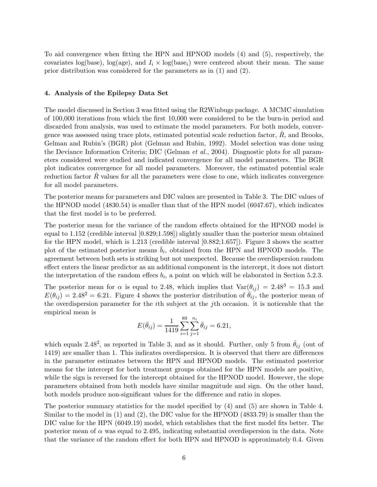To aid convergence when fitting the HPN and HPNOD models (4) and (5), respectively, the covariates log(base), log(age), and  $I_i \times \log(\text{base}_i)$  were centered about their mean. The same prior distribution was considered for the parameters as in (1) and (2).

## 4. Analysis of the Epilepsy Data Set

The model discussed in Section 3 was fitted using the R2Winbugs package. A MCMC simulation of 100,000 iterations from which the first 10,000 were considered to be the burn-in period and discarded from analysis, was used to estimate the model parameters. For both models, convergence was assessed using trace plots, estimated potential scale reduction factor,  $\hat{R}$ , and Brooks, Gelman and Rubin's (BGR) plot (Gelman and Rubin, 1992). Model selection was done using the Deviance Information Criteria; DIC (Gelman et al., 2004). Diagnostic plots for all parameters considered were studied and indicated convergence for all model parameters. The BGR plot indicates convergence for all model parameters. Moreover, the estimated potential scale reduction factor  $R$  values for all the parameters were close to one, which indicates convergence for all model parameters.

The posterior means for parameters and DIC values are presented in Table 3. The DIC values of the HPNOD model (4830.54) is smaller than that of the HPN model (6047.67), which indicates that the first model is to be preferred.

The posterior mean for the variance of the random effects obtained for the HPNOD model is equal to 1.152 (credible interval [0.829;1.598]) slightly smaller than the posterior mean obtained for the HPN model, which is 1.213 (credible interval [0.882;1.657]). Figure 3 shows the scatter plot of the estimated posterior means  $\bar{b}_i$ , obtained from the HPN and HPNOD models. The agreement between both sets is striking but not unexpected. Because the overdispersion random effect enters the linear predictor as an additional component in the intercept, it does not distort the interpretation of the random effecs  $b_i$ , a point on which will be elaborated in Section 5.2.3.

The posterior mean for  $\alpha$  is equal to 2.48, which implies that  $Var(\theta_{ij}) = 2.48^3 = 15.3$  and  $E(\theta_{ij}) = 2.48^2 = 6.21$ . Figure 4 shows the posterior distribution of  $\bar{\theta}_{ij}$ , the posterior mean of the overdispersion parameter for the ith subject at the jth occasion. it is noticeable that the empirical mean is

$$
E(\bar{\theta}_{ij}) = \frac{1}{1419} \sum_{i=1}^{89} \sum_{j=1}^{n_i} \bar{\theta}_{ij} = 6.21,
$$

which equals 2.48<sup>2</sup>, as reported in Table 3, and as it should. Further, only 5 from  $\bar{\theta}_{ij}$  (out of 1419) are smaller than 1. This indicates overdispersion. It is observed that there are differences in the parameter estimates between the HPN and HPNOD models. The estimated posterior means for the intercept for both treatment groups obtained for the HPN models are positive, while the sign is reversed for the intercept obtained for the HPNOD model. However, the slope parameters obtained from both models have similar magnitude and sign. On the other hand, both models produce non-significant values for the difference and ratio in slopes.

The posterior summary statistics for the model specified by (4) and (5) are shown in Table 4. Similar to the model in (1) and (2), the DIC value for the HPNOD (4833.79) is smaller than the DIC value for the HPN (6049.19) model, which establishes that the first model fits better. The posterior mean of  $\alpha$  was equal to 2.495, indicating substantial overdispersion in the data. Note that the variance of the random effect for both HPN and HPNOD is approximately 0.4. Given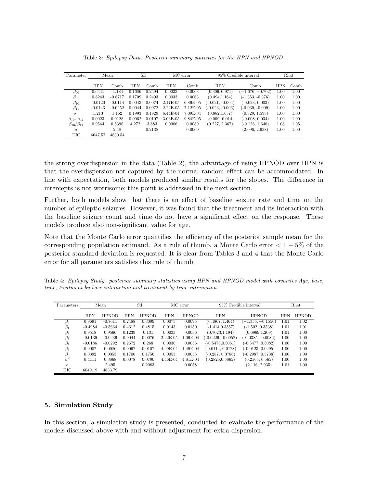| Parameter                   | <b>SD</b><br>Mean |           |            | MC error | 95% Credible interval |            | Rhat               |                    |            |      |
|-----------------------------|-------------------|-----------|------------|----------|-----------------------|------------|--------------------|--------------------|------------|------|
|                             |                   |           |            |          |                       |            |                    |                    |            |      |
|                             | <b>HPN</b>        | Comb      | <b>HPN</b> | Comb     | <b>HPN</b>            | Comb       | <b>HPN</b>         | Comb               | <b>HPN</b> | Comb |
| $\beta_{00}$                | 0.6441            | $-1.184$  | 0.1686     | 0.2494   | 0.0033                | 0.0063     | (0.306, 0.971)     | $(-1.676, -0.702)$ | 1.00       | 1.00 |
| $\beta_{01}$                | 0.8243            | $-0.8717$ | 0.1709     | 0.2493   | 0.0033                | 0.0063     | (0.494, 1.164)     | $(-1.353, -0.376)$ | 1.00       | 1.00 |
| $\beta_{10}$                | $-0.0120$         | $-0.0114$ | 0.0043     | 0.0074   | 2.17E-05              | $6.86E-05$ | $(-0.021, -0.004)$ | $(-0.023, 0.003)$  | 1.00       | 1.00 |
| $\beta_{11}$                | $-0.0143$         | $-0.0252$ | 0.0044     | 0.0072   | $2.22E-05$            | 7.12E-05   | $(-0.023, -0.006)$ | $(-0.039, -0.009)$ | 1.00       | 1.00 |
| $\sigma^2$                  | 1.213             | 1.152     | 0.1993     | 0.1929   | $6.44E-04$            | 7.09E-04   | (0.882, 1.657)     | (0.829, 1.598)     | 1.00       | 1.00 |
| $\beta_{10}$ - $\beta_{11}$ | 0.0023            | 0.0128    | 0.0062     | 0.0107   | 3.06E-05              | 9.84E-05   | $(-0.009, 0.014)$  | $(-0.008, 0.034)$  | 1.00       | 1.00 |
| $\beta_{10}/\beta_{11}$     | 0.9544            | 0.5398    | 4.272      | 3.883    | 0.0086                | 0.0089     | (0.227, 2.367)     | $(-0.126, 1.648)$  | 1.08       | 1.05 |
| $\alpha$                    |                   | 2.48      |            | 0.2138   |                       | 0.0060     |                    | (2.096, 2.938)     | 1.00       | 1.00 |
| $_{\rm DIC}$                | 6047.57           | 4830.54   |            |          |                       |            |                    |                    |            |      |

Table 3: Epilepsy Data. Posterior summary statistics for the HPN and HPNOD

the strong overdispersion in the data (Table 2), the advantage of using HPNOD over HPN is that the overdispersion not captured by the normal random effect can be accommodated. In line with expectation, both models produced similar results for the slopes. The difference in intercepts is not worrisome; this point is addressed in the next section.

Further, both models show that there is an effect of baseline seizure rate and time on the number of epileptic seizures. However, it was found that the treatment and its interaction with the baseline seizure count and time do not have a significant effect on the response. These models produce also non-significant value for age.

Note that the Monte Carlo error quantifies the efficiency of the posterior sample mean for the corresponding population estimand. As a rule of thumb, a Monte Carlo error  $< 1 - 5\%$  of the posterior standard deviation is requested. It is clear from Tables 3 and 4 that the Monte Carlo error for all parameters satisfies this rule of thumb.

Table 4: Epilepsy Study. posterior summary statistics using HPN and HPNOD model with covarites Age, base, time, treatment by base interaction and treatment by time interaction.

| Parameters   | Sd<br>Mean |              |            | MC error     | 95% Credible interval | Rhat         |                      |                      |            |              |
|--------------|------------|--------------|------------|--------------|-----------------------|--------------|----------------------|----------------------|------------|--------------|
|              |            |              |            |              |                       |              |                      |                      |            |              |
|              | <b>HPN</b> | <b>HPNOD</b> | <b>HPN</b> | <b>HPNOD</b> | <b>HPN</b>            | <b>HPNOD</b> | <b>HPN</b>           | <b>HPNOD</b>         | <b>HPN</b> | <b>HPNOD</b> |
| $\beta_0$    | 0.9691     | $-0.7611$    | 0.2488     | 0.3099       | 0.0075                | 0.0095       | (0.4867, 1.464)      | $-1.355, -0.1556$    | 1.01       | 1.02         |
| $\beta_1$    | $-0.4984$  | $-0.5664$    | 0.4612     | 0.4815       | 0.0143                | 0.0150       | $(-1.414.0.3857)$    | $(-1.502, 0.3538)$   | 1.01       | 1.01         |
| $\beta_2$    | 0.9518     | 0.9566       | 0.1239     | 0.131        | 0.0033                | 0.0036       | (0.7023, 1.194)      | (0.6969, 1.209)      | 1.01       | 1.00         |
| $\beta_3$    | $-0.0139$  | $-0.0236$    | 0.0044     | 0.0076       | $2.22E-05$            | 1.06E-04     | $(-0.0226, -0.0052)$ | $(-0.0385, -0.0086)$ | 1.00       | 1.00         |
| $\beta_4$    | $-0.0186$  | $-0.0292$    | 0.2672     | 0.268        | 0.0036                | 0.0036       | $(-0.5478, 0.5061)$  | $(-0.5477, 0.5082)$  | 1.00       | 1.00         |
| $\beta_5$    | 0.0007     | 0.0086       | 0.0062     | 0.0107       | $4.99E-04$            | 1.49E-04     | (-0.0114, 0.0128)    | $(-0.0123, 0.0295)$  | 1.00       | 1.00         |
| $\beta_6$    | 0.0392     | 0.0353       | 0.1706     | 0.1756       | 0.0053                | 0.0055       | $(-0.287, 0.3786)$   | $(-0.2987, 0.3738)$  | 1.00       | 1.00         |
| $\sigma^2$   | 0.4111     | 0.3868       | 0.0078     | 0.0790       | $4.46E-04$            | $4.81E-04$   | (0.2826.0.5865)      | (0.2565, 0.565)      | 1.00       | 1.00         |
| $\alpha$     |            | 2.495        |            | 0.2083       |                       | 0.0058       |                      | (2.116, 2.935)       | 1.01       | 1.00         |
| $_{\rm DIC}$ | 6049.19    | 4833.79      |            |              |                       |              |                      |                      |            |              |

## 5. Simulation Study

In this section, a simulation study is presented, conducted to evaluate the performance of the models discussed above with and without adjustment for extra-dispersion.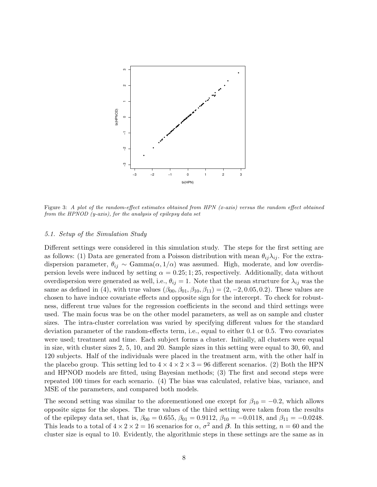

Figure 3: A plot of the random-effect estimates obtained from HPN (x-axis) versus the random effect obtained from the HPNOD  $(y-axis)$ , for the analysis of epilepsy data set

#### 5.1. Setup of the Simulation Study

Different settings were considered in this simulation study. The steps for the first setting are as follows: (1) Data are generated from a Poisson distribution with mean  $\theta_{ij}\lambda_{ij}$ . For the extradispersion parameter,  $\theta_{ij} \sim \text{Gamma}(\alpha, 1/\alpha)$  was assumed. High, moderate, and low overdispersion levels were induced by setting  $\alpha = 0.25; 1; 25$ , respectively. Additionally, data without overdispersion were generated as well, i.e.,  $\theta_{ij} = 1$ . Note that the mean structure for  $\lambda_{ij}$  was the same as defined in (4), with true values  $(\beta_{00}, \beta_{01}, \beta_{10}, \beta_{11}) = (2, -2, 0.05, 0.2)$ . These values are chosen to have induce covariate effects and opposite sign for the intercept. To check for robustness, different true values for the regression coefficients in the second and third settings were used. The main focus was be on the other model parameters, as well as on sample and cluster sizes. The intra-cluster correlation was varied by specifying different values for the standard deviation parameter of the random-effects term, i.e., equal to either 0.1 or 0.5. Two covariates were used; treatment and time. Each subject forms a cluster. Initially, all clusters were equal in size, with cluster sizes 2, 5, 10, and 20. Sample sizes in this setting were equal to 30, 60, and 120 subjects. Half of the individuals were placed in the treatment arm, with the other half in the placebo group. This setting led to  $4 \times 4 \times 2 \times 3 = 96$  different scenarios. (2) Both the HPN and HPNOD models are fitted, using Bayesian methods; (3) The first and second steps were repeated 100 times for each scenario. (4) The bias was calculated, relative bias, variance, and MSE of the parameters, and compared both models.

The second setting was similar to the aforementioned one except for  $\beta_{10} = -0.2$ , which allows opposite signs for the slopes. The true values of the third setting were taken from the results of the epilepsy data set, that is,  $\beta_{00} = 0.655$ ,  $\beta_{01} = 0.9112$ ,  $\beta_{10} = -0.0118$ , and  $\beta_{11} = -0.0248$ . This leads to a total of  $4 \times 2 \times 2 = 16$  scenarios for  $\alpha$ ,  $\sigma^2$  and  $\beta$ . In this setting,  $n = 60$  and the cluster size is equal to 10. Evidently, the algorithmic steps in these settings are the same as in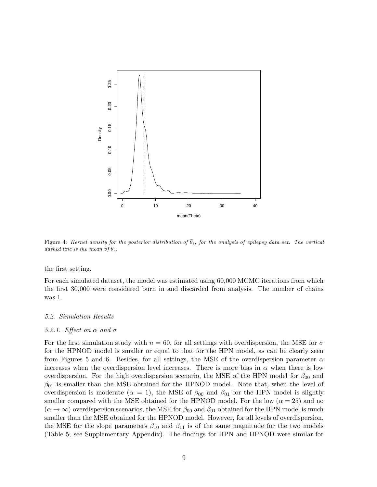

Figure 4: Kernel density for the posterior distribution of  $\bar{\theta}_{ij}$  for the analysis of epilepsy data set. The vertical dashed line is the mean of  $\bar{\theta}_{ij}$ 

the first setting.

For each simulated dataset, the model was estimated using 60,000 MCMC iterations from which the first 30,000 were considered burn in and discarded from analysis. The number of chains was 1.

#### 5.2. Simulation Results

#### 5.2.1. Effect on  $\alpha$  and  $\sigma$

For the first simulation study with  $n = 60$ , for all settings with overdispersion, the MSE for  $\sigma$ for the HPNOD model is smaller or equal to that for the HPN model, as can be clearly seen from Figures 5 and 6. Besides, for all settings, the MSE of the overdispersion parameter  $\alpha$ increases when the overdispersion level increases. There is more bias in  $\alpha$  when there is low overdispersion. For the high overdispersion scenario, the MSE of the HPN model for  $\beta_{00}$  and  $\beta_{01}$  is smaller than the MSE obtained for the HPNOD model. Note that, when the level of overdispersion is moderate ( $\alpha = 1$ ), the MSE of  $\beta_{00}$  and  $\beta_{01}$  for the HPN model is slightly smaller compared with the MSE obtained for the HPNOD model. For the low  $(\alpha = 25)$  and no  $(\alpha \to \infty)$  overdispersion scenarios, the MSE for  $\beta_{00}$  and  $\beta_{01}$  obtained for the HPN model is much smaller than the MSE obtained for the HPNOD model. However, for all levels of overdispersion, the MSE for the slope parameters  $\beta_{10}$  and  $\beta_{11}$  is of the same magnitude for the two models (Table 5; see Supplementary Appendix). The findings for HPN and HPNOD were similar for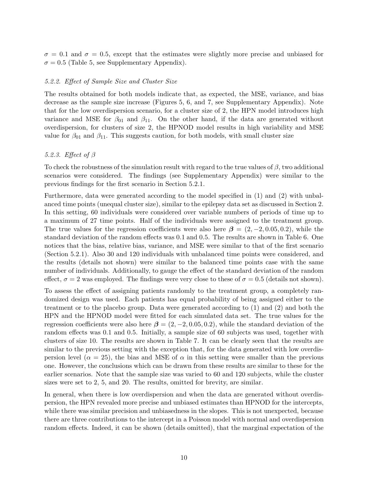$\sigma = 0.1$  and  $\sigma = 0.5$ , except that the estimates were slightly more precise and unbiased for  $\sigma = 0.5$  (Table 5, see Supplementary Appendix).

## 5.2.2. Effect of Sample Size and Cluster Size

The results obtained for both models indicate that, as expected, the MSE, variance, and bias decrease as the sample size increase (Figures 5, 6, and 7, see Supplementary Appendix). Note that for the low overdispersion scenario, for a cluster size of 2, the HPN model introduces high variance and MSE for  $\beta_{01}$  and  $\beta_{11}$ . On the other hand, if the data are generated without overdispersion, for clusters of size 2, the HPNOD model results in high variability and MSE value for  $\beta_{01}$  and  $\beta_{11}$ . This suggests caution, for both models, with small cluster size

## 5.2.3. Effect of β

To check the robustness of the simulation result with regard to the true values of  $\beta$ , two additional scenarios were considered. The findings (see Supplementary Appendix) were similar to the previous findings for the first scenario in Section 5.2.1.

Furthermore, data were generated according to the model specified in (1) and (2) with unbalanced time points (unequal cluster size), similar to the epilepsy data set as discussed in Section 2. In this setting, 60 individuals were considered over variable numbers of periods of time up to a maximum of 27 time points. Half of the individuals were assigned to the treatment group. The true values for the regression coefficients were also here  $\beta = (2, -2, 0.05, 0.2)$ , while the standard deviation of the random effects was 0.1 and 0.5. The results are shown in Table 6. One notices that the bias, relative bias, variance, and MSE were similar to that of the first scenario (Section 5.2.1). Also 30 and 120 individuals with unbalanced time points were considered, and the results (details not shown) were similar to the balanced time points case with the same number of individuals. Additionally, to gauge the effect of the standard deviation of the random effect,  $\sigma = 2$  was employed. The findings were very close to these of  $\sigma = 0.5$  (details not shown).

To assess the effect of assigning patients randomly to the treatment group, a completely randomized design was used. Each patients has equal probability of being assigned either to the treatment or to the placebo group. Data were generated according to (1) and (2) and both the HPN and the HPNOD model were fitted for each simulated data set. The true values for the regression coefficients were also here  $\beta = (2, -2, 0.05, 0.2)$ , while the standard deviation of the random effects was 0.1 and 0.5. Initially, a sample size of 60 subjects was used, together with clusters of size 10. The results are shown in Table 7. It can be clearly seen that the results are similar to the previous setting with the exception that, for the data generated with low overdispersion level ( $\alpha = 25$ ), the bias and MSE of  $\alpha$  in this setting were smaller than the previous one. However, the conclusions which can be drawn from these results are similar to these for the earlier scenarios. Note that the sample size was varied to 60 and 120 subjects, while the cluster sizes were set to 2, 5, and 20. The results, omitted for brevity, are similar.

In general, when there is low overdispersion and when the data are generated without overdispersion, the HPN revealed more precise and unbiased estimates than HPNOD for the intercepts, while there was similar precision and unbiasedness in the slopes. This is not unexpected, because there are three contributions to the intercept in a Poisson model with normal and overdispersion random effects. Indeed, it can be shown (details omitted), that the marginal expectation of the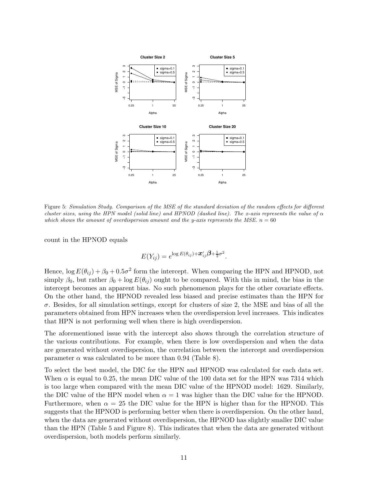

Figure 5: Simulation Study. Comparison of the MSE of the standard deviation of the random effects for different cluster sizes, using the HPN model (solid line) and HPNOD (dashed line). The x-axis represents the value of  $\alpha$ which shows the amount of overdispersion amount and the y-axis represents the MSE.  $n = 60$ 

count in the HPNOD equals

$$
E(Y_{ij}) = e^{\log E(\theta_{ij}) + \mathbf{x}'_{ij}\beta + \frac{1}{2}\sigma^2}.
$$

Hence,  $\log E(\theta_{ij}) + \beta_0 + 0.5\sigma^2$  form the intercept. When comparing the HPN and HPNOD, not simply  $\beta_0$ , but rather  $\beta_0 + \log E(\theta_{ij})$  ought to be compared. With this in mind, the bias in the intercept becomes an apparent bias. No such phenomenon plays for the other covariate effects. On the other hand, the HPNOD revealed less biased and precise estimates than the HPN for  $\sigma$ . Besides, for all simulation settings, except for clusters of size 2, the MSE and bias of all the parameters obtained from HPN increases when the overdispersion level increases. This indicates that HPN is not performing well when there is high overdispersion.

The aforementioned issue with the intercept also shows through the correlation structure of the various contributions. For example, when there is low overdispersion and when the data are generated without overdispersion, the correlation between the intercept and overdispersion parameter  $\alpha$  was calculated to be more than 0.94 (Table 8).

To select the best model, the DIC for the HPN and HPNOD was calculated for each data set. When  $\alpha$  is equal to 0.25, the mean DIC value of the 100 data set for the HPN was 7314 which is too large when compared with the mean DIC value of the HPNOD model: 1629. Similarly, the DIC value of the HPN model when  $\alpha = 1$  was higher than the DIC value for the HPNOD. Furthermore, when  $\alpha = 25$  the DIC value for the HPN is higher than for the HPNOD. This suggests that the HPNOD is performing better when there is overdispersion. On the other hand, when the data are generated without overdispersion, the HPNOD has slightly smaller DIC value than the HPN (Table 5 and Figure 8). This indicates that when the data are generated without overdispersion, both models perform similarly.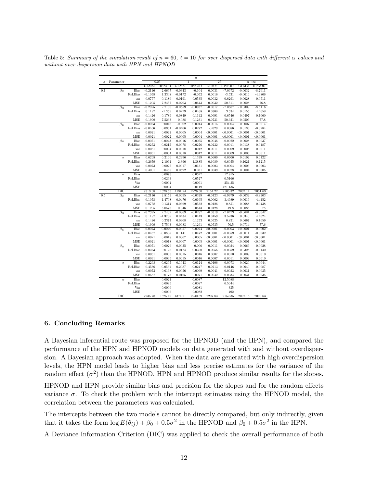| σ   | Parameter    |             |                  | 0.25             |                  | $\alpha$<br>1    |             | 25               |             | $\alpha\rightarrow\infty$ |
|-----|--------------|-------------|------------------|------------------|------------------|------------------|-------------|------------------|-------------|---------------------------|
|     |              |             | <b>GLMM</b>      | <b>HPNOD</b>     | <b>GLMM</b>      | <b>HPNOD</b>     | <b>GLMM</b> | <b>HPNOD</b>     | <b>GLMM</b> | <b>HPNOD</b>              |
| 0.1 | $\beta_{00}$ | Bias        | $-0.2116$        | 2.6697           | $-0.0343$        | $-0.104$         | 0.0031      | $-7.0672$        | $-0.0032$   | $-8.7611$                 |
|     |              | Rel.Bias    | $-0.1058$        | 1.3348           | $-0.0172$        | $-0.052$         | 0.0016      | $-3.531$         | $-0.0016$   | $-4.3806$                 |
|     |              | var         | 0.0757           | 0.1186           | 0.0191           | 0.0535           | 0.0032      | 0.6291           | 0.0028      | 0.0511                    |
|     |              | MSE         | 0.1205           | 7.2457           | 0.0203           | 0.0643           | 0.0032      | 50.511           | 0.0028      | 76.8                      |
|     | $\beta_{01}$ | Bias        | $-0.2395$        | 2.7100           | $-0.0559$        | $-0.0937$        | $-0.0617$   | $-7.0687$        | $-0.0309$   | $-8.8116$                 |
|     |              | Rel.Bias    | 0.1197           | $-1.355$         | 0.0279           | 0.0468           | 0.0308      | 3.534            | 0.0155      | 4.4058                    |
|     |              | var         | 0.1426           | 0.1789           | 0.0849           | 0.1142           | 0.0691      | 0.6546           | 0.0497      | 0.1060                    |
|     |              | <b>MSE</b>  | 0.1999           | 7.5233           | 0.088            | 0.1231           | 0.0731      | 50.621           | 0.0506      | 77.8                      |
|     | $\beta_{10}$ | <b>Bias</b> | $-0.0023$        | 0.0048           | $-0.002$         | 0.0014           | $-0.0015$   | 0.0004           | 0.0007      | $-0.0014$                 |
|     |              | Rel.Bias    | $-0.0466$        | 0.0961           | $-0.0406$        | 0.0272           | $-0.029$    | 0.0086           | 0.0138      | $-0.0284$                 |
|     |              | var         | 0.0021           | 0.0022           | 0.0005           | 0.0004           | < 0.0001    | < 0.0001         | < 0.0001    | < 0.0001                  |
|     |              | MSE         | 0.0021           | 0.0022           | 0.0005           | 0.0004           | < 0.0001    | < 0.0001         | < 0.0001    | < 0.0001                  |
|     | $\beta_{11}$ | <b>Bias</b> | $-0.0051$        | $-0.0043$        | $-0.0016$        | $-0.0055$        | 0.0046      | $-0.0022$        | 0.0028      | 0.0037                    |
|     |              | Rel.Bias    | $-0.0253$        | $-0.0215$        | $-0.0078$        | $-0.0276$        | 0.0232      | $-0.0011$        | 0.0138      | 0.0187                    |
|     |              | var         | 0.0031           | 0.0034           | 0.0018           | 0.0012           | 0.0011      | 0.0009           | 0.0008      | 0.0011                    |
|     |              | MSE         | 0.0031           | 0.0034           | 0.0018           | 0.0012           | 0.0011      | 0.0009           | 0.0008      | 0.0011                    |
|     | $\sigma$     | <b>Bias</b> | 0.6268           | 0.2106           | 0.2396           | 0.1339           | 0.0609      | 0.0606           | 0.0102      | 0.0122                    |
|     |              | Rel.Bias    | 6.2679           | 2.1061           | 2.396            | 1.3885           | 0.6089      | 0.6055           | 0.1021      | 0.1215                    |
|     |              | var         | 0.0073           | 0.0025           | 0.0017           | 0.0131           | 0.0003      | 0.0004           | 0.0003      | 0.0003                    |
|     |              | <b>MSE</b>  | 0.4001           | 0.0468           | 0.0592           | 0.031            | 0.0039      | 0.0078           | 0.0004      | 0.0005                    |
|     | $\alpha$     | <b>Bias</b> |                  | 0.0073           |                  | 0.0527           |             | 12.915           |             |                           |
|     |              | Rel.Bias    |                  | 0.0293           |                  | 0.0527           |             | 0.5166           |             |                           |
|     |              | Var         |                  | 0.0004           |                  | 0.0091           |             | 254.35           |             |                           |
|     |              | MSE         |                  | 0.0004           |                  | 0.0119           |             | 421.135          |             |                           |
|     | $_{\rm DIC}$ |             | 7313.68          | 1628.53          | 4131.24          | 2226.50          | 2154.22     | 2105.32          | 2062.11     | 2051.63                   |
| 0.5 |              | <b>Bias</b> | $-0.2116$        | 2.8153           | $-0.0095$        | $-0.0329$        | $-0.0123$   | $-6.9979$        | $-0.0032$   | $-8.8303$                 |
|     | $\beta_{00}$ | Rel.Bias    | $-0.1058$        | 1.4708           | $-0.0476$        | $-0.0165$        | $-0.0062$   | $-3.4989$        | 0.0016      | $-4.4152$                 |
|     |              | var         | 0.0758           | 0.1314           | 0.0369           | 0.0532           | 0.0126      | 0.851            | 0.0088      | 0.0438                    |
|     |              | MSE         | 0.1205           | 8.0576           | 0.046            | 0.0543           | 0.0128      | 49.8             | 0.0088      | 78                        |
|     | $\beta_{01}$ | Bias        | $-0.2395$        | 2.7409           | $-0.0869$        | $-0.0287$        | $-0.0319$   | $-7.0473$        | $-0.0681$   | $-8.8047$                 |
|     |              | Rel.Bias    | 0.1197           | $-1.3705$        | 0.0434           | 0.0143           | 0.0159      | 3.5236           | 0.0340      | 4.4024                    |
|     |              | var         | 0.1426           | 0.2374           | 0.0908           | 0.1253           | 0.0525      | 0.821            | 0.0667      | 0.1059                    |
|     |              | MSE         | 0.1999           | 7.7503           | 0.0983           | 0.1261           | 0.0535      | 50.5             | 0.0714      | 77.6                      |
|     | $\beta_{10}$ | <b>Bias</b> | $-0.0023$        | $-0.0040$        | 0.0057           | 0.0024           | < 0.0001    | $-0.0003$        | < 0.0001    | $-0.0002$                 |
|     |              | Rel.Bias    | $-0.0467$        | $-0.0805$        | 0.1141           | 0.0472           | < 0.0001    | $-0.0059$        | $-0.0011$   | $-0.0032$                 |
|     |              | var         | 0.0021           | 0.0018           | 0.0007           | 0.0005           | < 0.0001    | < 0.0001         | < 0.0001    | < 0.0001                  |
|     |              | <b>MSE</b>  | 0.0021           | 0.0018           | 0.0007           | 0.0005           | < 0.0001    | < 0.0001         | < 0.0001    | < 0.0001                  |
|     | $\beta_{11}$ | <b>Bias</b> | $-0.0051$        | 0.0026           | 0.0035           | 0.006            | 0.0011      | 0.0034           | 0.0066      | $-0.0028$                 |
|     |              | Rel.Bias    | $-0.0253$        | 0.0128           | 0.0174           | 0.0300           | 0.0056      | $-0.0059$        | 0.0328      | $-0.0140$                 |
|     |              | var         | 0.0031           | 0.0035           | 0.0015           | 0.0016           | 0.0007      | 0.0010           | 0.0009      | 0.0010                    |
|     |              | MSE         | 0.0031           | 0.0035           | 0.0015           | 0.0016           | 0.0007      | 0.0011           | 0.0009      | 0.0010                    |
|     | $\sigma$     | <b>Bias</b> | 0.2268           | $-0.0265$        | 0.1043           | $-0.0124$        | 0.0106      | $-0.0073$        | 0.0020      | $-0.0044$                 |
|     |              | Rel.Bias    | 0.4536           | $-0.0531$        | 0.2087           | $-0.0247$        | 0.0213      | $-0.0146$        | 0.0040      | $-0.0087$                 |
|     |              | var         |                  |                  |                  |                  | 0.0041      |                  | 0.0031      |                           |
|     |              | MSE         | 0.0073<br>0.0587 | 0.0168<br>0.0175 | 0.0056<br>0.0165 | 0.0069<br>0.0071 | 0.0042      | 0.0033<br>0.0034 | 0.0031      | 0.0035<br>0.0035          |
|     |              |             |                  |                  |                  |                  |             |                  |             |                           |
|     | $\alpha$     | Bias        |                  | 0.0021           |                  | 0.0087           |             | 12.5088          |             |                           |
|     |              | Rel.Bias    |                  | 0.0085           |                  | 0.0087           |             | 0.5044           |             |                           |
|     |              | Var         |                  | 0.0006           |                  | 0.0081           |             | 335              |             |                           |
|     |              | MSE         |                  | 0.0006           |                  | 0.0082           |             | 492              |             |                           |
|     | DIC          |             | 7935.78          | 1625.49          | 4374.21          | 2240.69          | 2207.83     | 2152.35          | 2097.15     | 2090.63                   |

Table 5: Summary of the simulation result of  $n = 60$ ,  $t = 10$  for over dispersed data with different  $\alpha$  values and without over dispersion data with HPN and HPNOD

## 6. Concluding Remarks

A Bayesian inferential route was proposed for the HPNOD (and the HPN), and compared the performance of the HPN and HPNOD models on data generated with and without overdispersion. A Bayesian approach was adopted. When the data are generated with high overdispersion levels, the HPN model leads to higher bias and less precise estimates for the variance of the random effect  $(\sigma^2)$  than the HPNOD. HPN and HPNOD produce similar results for the slopes.

HPNOD and HPN provide similar bias and precision for the slopes and for the random effects variance  $\sigma$ . To check the problem with the intercept estimates using the HPNOD model, the correlation between the parameters was calculated.

The intercepts between the two models cannot be directly compared, but only indirectly, given that it takes the form  $\log E(\theta_{ij}) + \beta_0 + 0.5\sigma^2$  in the HPNOD and  $\beta_0 + 0.5\sigma^2$  in the HPN.

A Deviance Information Criterion (DIC) was applied to check the overall performance of both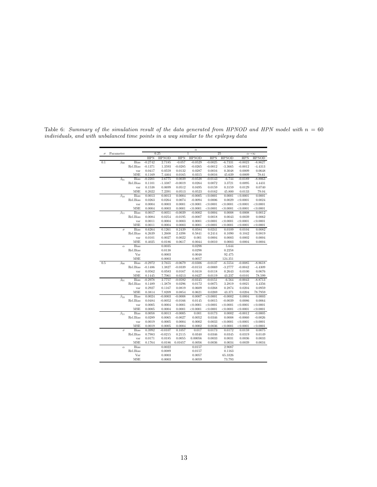| 0.25<br>25<br>ī<br>$\alpha\rightarrow\infty$<br>$\sigma$<br><b>HPN</b><br><b>HPNOD</b><br><b>HPN</b><br><b>HPNOD</b><br><b>HPN</b><br><b>HPNOD</b><br><b>HPN</b><br><b>HPNOD</b><br>Bias<br>$-0.2742$<br>2.7185<br>$-0.057$<br>$-0.0025$<br>$-0.0023$<br>0.1<br>$-0.0529$<br>$-6.7331$<br>$\beta_{00}$<br>Rel.Bias<br>1.3593<br>$-0.0285$<br>$-0.0265$<br>$-0.0012$<br>$-3.3665$<br>$-0.0012$<br>$-0.1371$<br>0.0417<br>0.0559<br>0.0132<br>0.0287<br>0.0016<br>0.3048<br>0.0009<br>0.0648<br>var<br>MSE<br>0.1169<br>7.4464<br>0.0165<br>0.0315<br>0.0016<br>45.639<br>78.61<br>0.0009<br>Bias<br>$-0.2201$<br>$-0.0143$<br>$-6.744$<br>$-8.8863$<br>2.6775<br>0.0039<br>$-0.0528$<br>$-0.0189$<br>$\beta_{01}$<br>Rel.Bias<br>0.1101<br>$-1.3387$<br>$-0.0019$<br>0.0264<br>0.0072<br>3.3721<br>0.0095<br>0.0159<br>0.0129<br>0.1538<br>0.0699<br>0.0512<br>0.0495<br>0.3159<br>var<br>MSE<br>0.2022<br>7.2391<br>0.0513<br>0.0523<br>0.0162<br>45.800<br>0.0133<br>Bias<br>0.0013<br>0.0013<br>0.0004<br>$-0.0005$<br>< 0.0001<br>0.0001<br>< 0.0001<br>$\beta_{10}$<br>Rel.Bias<br>0.0263<br>0.0264<br>0.0074<br>$-0.0094$<br>0.0006<br>< 0.0001<br>0.0029<br>0.0004<br>0.0003<br>0.0001<br>< 0.0001<br>< 0.0001<br>< 0.0001<br>< 0.0001<br>var<br>0.0003<br>0.0001<br>< 0.0001<br>< 0.0001<br>MSE<br>0.0004<br>< 0.0001<br>< 0.0001<br>Bias<br>$\beta_{11}$<br>0.0017<br>0.0051<br>$-0.0039$<br>$-0.0002$<br>0.0004<br>0.0008<br>0.0008<br>Rel.Bias<br>0.0084<br>0.0254<br>$-0.0195$<br>$-0.0007$<br>0.0018<br>0.0043<br>0.0039<br>0.0011<br>0.0004<br>0.0003<br>0.0001<br>< 0.0001<br>< 0.0001<br>< 0.0001<br>var<br>MSE<br>0.0011<br>0.0004<br>0.0003<br>0.0001<br>< 0.0001<br>< 0.0001<br>< 0.0001<br>Bias<br>0.2439<br>0.0241<br>0.6264<br>0.1261<br>0.0584<br>0.0109<br>0.0104<br>$\sigma$<br>Rel.Bias<br>1.2608<br>6.2639<br>2.4398<br>0.5841<br>0.2414<br>0.1090<br>0.1042<br>0.0027<br>0.001<br>0.0004<br>0.0003<br>0.0101<br>0.0022<br>0.0002<br>var<br>MSE<br>0.4025<br>0.0186<br>0.0617<br>0.0044<br>0.0010<br>0.0003<br>0.0004<br>Bias<br>0.0035<br>0.0298<br>5.644<br>$\alpha$<br>Rel.Bias<br>0.0138<br>0.0298<br>0.2258<br>0.0003<br>0.0048<br>92.475<br>Var<br>MSE<br>0.0003<br>0.0057<br>124.351<br>0.5<br>Bias<br>$-0.2972$<br>2.7655<br>$-0.0679$<br>$-0.0306$<br>$-0.0137$<br>$-6.5554$<br>$-0.0085$<br>$\beta_{00}$<br>Rel.Bias<br>$-0.1486$<br>1.3827<br>$-0.0339$<br>$-0.0153$<br>$-0.0069$<br>$-3.2777$<br>$-0.0042$<br>0.0562<br>0.0583<br>0.0167<br>0.0418<br>0.0118<br>0.2643<br>0.0100<br>var<br>MSE<br>43.237<br>0.1445<br>7.7061<br>0.0213<br>0.0427<br>0.0119<br>0.0101<br><b>Bias</b><br>$-0.2978$<br>2.7757<br>$-0.0592$<br>$-0.0345$<br>$-0.0151$<br>$-6.564$<br>$-0.0043$<br>$\beta_{01}$<br>Rel.Bias<br>$-1.3878$<br>0.0075<br>3.2819<br>0.1489<br>0.0296<br>0.0172<br>0.0021<br>0.2927<br>0.0819<br>0.0268<br>0.2874<br>0.0204<br>0.0959<br>0.1167<br>0.0609<br>var<br>MSE<br>0.3814<br>7.8209<br>0.0854<br>0.0621<br>0.0269<br>43.371<br>0.0204<br>78.7959<br>Bias<br>0.0004<br>0.0024<br>$-0.0003$<br>$-0.0008$<br>0.0007<br>< 0.0001<br>$-0.0002$<br>$\beta_{10}$<br>Rel.Bias<br>0.0484<br>$-0.0052$<br>$-0.0166$<br>0.0145<br>0.0015<br>$-0.0039$<br>0.0086<br>0.0005<br>0.0004<br>0.0001<br>< 0.0001<br>< 0.0001<br>< 0.0001<br>< 0.0001<br>< 0.0001<br>var<br>MSE<br>0.0001<br>< 0.0001<br>< 0.0001<br>< 0.0001<br>0.0005<br>0.0004<br>< 0.0001<br>< 0.0001<br>Bias<br>$-0.0005$<br>0.001<br>0.0173<br>$-0.0012$<br>$\beta_{11}$<br>0.0058<br>0.0013<br>0.0002<br>0.0346<br>Rel.Bias<br>0.0289<br>0.0065<br>$-0.0027$<br>0.0052<br>0.0008<br>$-0.0060$<br>0.0019<br>0.0005<br>0.0004<br>0.0002<br>0.0033<br>< 0.0001<br>< 0.0001<br>< 0.0001<br>var<br>MSE<br>0.0019<br>0.0004<br>0.0002<br>0.0036<br>< 0.0001<br>< 0.0001<br>0.0005<br><b>Bias</b><br>$-0.0107$<br>0.1057<br>0.017<br>0.0173<br>0.0159<br>0.3992<br>0.0172<br>$\sigma$<br>Rel.Bias<br>0.7983<br>0.0340<br>0.0346<br>0.0345<br>$-0.0215$<br>0.2115<br>0.0319<br>0.00056<br>0.0031<br>0.0171<br>0.0185<br>0.0055<br>0.0033<br>0.0036<br>var<br>MSE<br>0.1764<br>0.0186<br>0.01657<br>0.0056<br>0.0036<br>0.0034<br>0.0039<br>Bias<br>0.0022<br>0.0157<br>2.9087<br>$\alpha$<br>Rel.Bias<br>0.0089<br>0.1163<br>0.0157<br>0.0003<br>0.0057<br>65.3326<br>Var |           |  |  | $\alpha$ |  |           |
|---------------------------------------------------------------------------------------------------------------------------------------------------------------------------------------------------------------------------------------------------------------------------------------------------------------------------------------------------------------------------------------------------------------------------------------------------------------------------------------------------------------------------------------------------------------------------------------------------------------------------------------------------------------------------------------------------------------------------------------------------------------------------------------------------------------------------------------------------------------------------------------------------------------------------------------------------------------------------------------------------------------------------------------------------------------------------------------------------------------------------------------------------------------------------------------------------------------------------------------------------------------------------------------------------------------------------------------------------------------------------------------------------------------------------------------------------------------------------------------------------------------------------------------------------------------------------------------------------------------------------------------------------------------------------------------------------------------------------------------------------------------------------------------------------------------------------------------------------------------------------------------------------------------------------------------------------------------------------------------------------------------------------------------------------------------------------------------------------------------------------------------------------------------------------------------------------------------------------------------------------------------------------------------------------------------------------------------------------------------------------------------------------------------------------------------------------------------------------------------------------------------------------------------------------------------------------------------------------------------------------------------------------------------------------------------------------------------------------------------------------------------------------------------------------------------------------------------------------------------------------------------------------------------------------------------------------------------------------------------------------------------------------------------------------------------------------------------------------------------------------------------------------------------------------------------------------------------------------------------------------------------------------------------------------------------------------------------------------------------------------------------------------------------------------------------------------------------------------------------------------------------------------------------------------------------------------------------------------------------------------------------------------------------------------------------------------------------------------------------------------------------------------------------------------------------------------------------------------------------------------------------------------------------------------------------------------------------------------------------------------------------------------------------------------------------------------------------------------------------------------------------------------------------------------------------------------------------------------------------------------------------------------|-----------|--|--|----------|--|-----------|
|                                                                                                                                                                                                                                                                                                                                                                                                                                                                                                                                                                                                                                                                                                                                                                                                                                                                                                                                                                                                                                                                                                                                                                                                                                                                                                                                                                                                                                                                                                                                                                                                                                                                                                                                                                                                                                                                                                                                                                                                                                                                                                                                                                                                                                                                                                                                                                                                                                                                                                                                                                                                                                                                                                                                                                                                                                                                                                                                                                                                                                                                                                                                                                                                                                                                                                                                                                                                                                                                                                                                                                                                                                                                                                                                                                                                                                                                                                                                                                                                                                                                                                                                                                                                                                                                           | Parameter |  |  |          |  |           |
|                                                                                                                                                                                                                                                                                                                                                                                                                                                                                                                                                                                                                                                                                                                                                                                                                                                                                                                                                                                                                                                                                                                                                                                                                                                                                                                                                                                                                                                                                                                                                                                                                                                                                                                                                                                                                                                                                                                                                                                                                                                                                                                                                                                                                                                                                                                                                                                                                                                                                                                                                                                                                                                                                                                                                                                                                                                                                                                                                                                                                                                                                                                                                                                                                                                                                                                                                                                                                                                                                                                                                                                                                                                                                                                                                                                                                                                                                                                                                                                                                                                                                                                                                                                                                                                                           |           |  |  |          |  |           |
|                                                                                                                                                                                                                                                                                                                                                                                                                                                                                                                                                                                                                                                                                                                                                                                                                                                                                                                                                                                                                                                                                                                                                                                                                                                                                                                                                                                                                                                                                                                                                                                                                                                                                                                                                                                                                                                                                                                                                                                                                                                                                                                                                                                                                                                                                                                                                                                                                                                                                                                                                                                                                                                                                                                                                                                                                                                                                                                                                                                                                                                                                                                                                                                                                                                                                                                                                                                                                                                                                                                                                                                                                                                                                                                                                                                                                                                                                                                                                                                                                                                                                                                                                                                                                                                                           |           |  |  |          |  | $-8.8627$ |
|                                                                                                                                                                                                                                                                                                                                                                                                                                                                                                                                                                                                                                                                                                                                                                                                                                                                                                                                                                                                                                                                                                                                                                                                                                                                                                                                                                                                                                                                                                                                                                                                                                                                                                                                                                                                                                                                                                                                                                                                                                                                                                                                                                                                                                                                                                                                                                                                                                                                                                                                                                                                                                                                                                                                                                                                                                                                                                                                                                                                                                                                                                                                                                                                                                                                                                                                                                                                                                                                                                                                                                                                                                                                                                                                                                                                                                                                                                                                                                                                                                                                                                                                                                                                                                                                           |           |  |  |          |  | $-4.4313$ |
|                                                                                                                                                                                                                                                                                                                                                                                                                                                                                                                                                                                                                                                                                                                                                                                                                                                                                                                                                                                                                                                                                                                                                                                                                                                                                                                                                                                                                                                                                                                                                                                                                                                                                                                                                                                                                                                                                                                                                                                                                                                                                                                                                                                                                                                                                                                                                                                                                                                                                                                                                                                                                                                                                                                                                                                                                                                                                                                                                                                                                                                                                                                                                                                                                                                                                                                                                                                                                                                                                                                                                                                                                                                                                                                                                                                                                                                                                                                                                                                                                                                                                                                                                                                                                                                                           |           |  |  |          |  |           |
|                                                                                                                                                                                                                                                                                                                                                                                                                                                                                                                                                                                                                                                                                                                                                                                                                                                                                                                                                                                                                                                                                                                                                                                                                                                                                                                                                                                                                                                                                                                                                                                                                                                                                                                                                                                                                                                                                                                                                                                                                                                                                                                                                                                                                                                                                                                                                                                                                                                                                                                                                                                                                                                                                                                                                                                                                                                                                                                                                                                                                                                                                                                                                                                                                                                                                                                                                                                                                                                                                                                                                                                                                                                                                                                                                                                                                                                                                                                                                                                                                                                                                                                                                                                                                                                                           |           |  |  |          |  |           |
|                                                                                                                                                                                                                                                                                                                                                                                                                                                                                                                                                                                                                                                                                                                                                                                                                                                                                                                                                                                                                                                                                                                                                                                                                                                                                                                                                                                                                                                                                                                                                                                                                                                                                                                                                                                                                                                                                                                                                                                                                                                                                                                                                                                                                                                                                                                                                                                                                                                                                                                                                                                                                                                                                                                                                                                                                                                                                                                                                                                                                                                                                                                                                                                                                                                                                                                                                                                                                                                                                                                                                                                                                                                                                                                                                                                                                                                                                                                                                                                                                                                                                                                                                                                                                                                                           |           |  |  |          |  |           |
|                                                                                                                                                                                                                                                                                                                                                                                                                                                                                                                                                                                                                                                                                                                                                                                                                                                                                                                                                                                                                                                                                                                                                                                                                                                                                                                                                                                                                                                                                                                                                                                                                                                                                                                                                                                                                                                                                                                                                                                                                                                                                                                                                                                                                                                                                                                                                                                                                                                                                                                                                                                                                                                                                                                                                                                                                                                                                                                                                                                                                                                                                                                                                                                                                                                                                                                                                                                                                                                                                                                                                                                                                                                                                                                                                                                                                                                                                                                                                                                                                                                                                                                                                                                                                                                                           |           |  |  |          |  | 4.4431    |
|                                                                                                                                                                                                                                                                                                                                                                                                                                                                                                                                                                                                                                                                                                                                                                                                                                                                                                                                                                                                                                                                                                                                                                                                                                                                                                                                                                                                                                                                                                                                                                                                                                                                                                                                                                                                                                                                                                                                                                                                                                                                                                                                                                                                                                                                                                                                                                                                                                                                                                                                                                                                                                                                                                                                                                                                                                                                                                                                                                                                                                                                                                                                                                                                                                                                                                                                                                                                                                                                                                                                                                                                                                                                                                                                                                                                                                                                                                                                                                                                                                                                                                                                                                                                                                                                           |           |  |  |          |  | 0.0740    |
|                                                                                                                                                                                                                                                                                                                                                                                                                                                                                                                                                                                                                                                                                                                                                                                                                                                                                                                                                                                                                                                                                                                                                                                                                                                                                                                                                                                                                                                                                                                                                                                                                                                                                                                                                                                                                                                                                                                                                                                                                                                                                                                                                                                                                                                                                                                                                                                                                                                                                                                                                                                                                                                                                                                                                                                                                                                                                                                                                                                                                                                                                                                                                                                                                                                                                                                                                                                                                                                                                                                                                                                                                                                                                                                                                                                                                                                                                                                                                                                                                                                                                                                                                                                                                                                                           |           |  |  |          |  | 79.04     |
|                                                                                                                                                                                                                                                                                                                                                                                                                                                                                                                                                                                                                                                                                                                                                                                                                                                                                                                                                                                                                                                                                                                                                                                                                                                                                                                                                                                                                                                                                                                                                                                                                                                                                                                                                                                                                                                                                                                                                                                                                                                                                                                                                                                                                                                                                                                                                                                                                                                                                                                                                                                                                                                                                                                                                                                                                                                                                                                                                                                                                                                                                                                                                                                                                                                                                                                                                                                                                                                                                                                                                                                                                                                                                                                                                                                                                                                                                                                                                                                                                                                                                                                                                                                                                                                                           |           |  |  |          |  | 0.0001    |
|                                                                                                                                                                                                                                                                                                                                                                                                                                                                                                                                                                                                                                                                                                                                                                                                                                                                                                                                                                                                                                                                                                                                                                                                                                                                                                                                                                                                                                                                                                                                                                                                                                                                                                                                                                                                                                                                                                                                                                                                                                                                                                                                                                                                                                                                                                                                                                                                                                                                                                                                                                                                                                                                                                                                                                                                                                                                                                                                                                                                                                                                                                                                                                                                                                                                                                                                                                                                                                                                                                                                                                                                                                                                                                                                                                                                                                                                                                                                                                                                                                                                                                                                                                                                                                                                           |           |  |  |          |  | 0.0024    |
|                                                                                                                                                                                                                                                                                                                                                                                                                                                                                                                                                                                                                                                                                                                                                                                                                                                                                                                                                                                                                                                                                                                                                                                                                                                                                                                                                                                                                                                                                                                                                                                                                                                                                                                                                                                                                                                                                                                                                                                                                                                                                                                                                                                                                                                                                                                                                                                                                                                                                                                                                                                                                                                                                                                                                                                                                                                                                                                                                                                                                                                                                                                                                                                                                                                                                                                                                                                                                                                                                                                                                                                                                                                                                                                                                                                                                                                                                                                                                                                                                                                                                                                                                                                                                                                                           |           |  |  |          |  | < 0.0001  |
|                                                                                                                                                                                                                                                                                                                                                                                                                                                                                                                                                                                                                                                                                                                                                                                                                                                                                                                                                                                                                                                                                                                                                                                                                                                                                                                                                                                                                                                                                                                                                                                                                                                                                                                                                                                                                                                                                                                                                                                                                                                                                                                                                                                                                                                                                                                                                                                                                                                                                                                                                                                                                                                                                                                                                                                                                                                                                                                                                                                                                                                                                                                                                                                                                                                                                                                                                                                                                                                                                                                                                                                                                                                                                                                                                                                                                                                                                                                                                                                                                                                                                                                                                                                                                                                                           |           |  |  |          |  | < 0.0001  |
|                                                                                                                                                                                                                                                                                                                                                                                                                                                                                                                                                                                                                                                                                                                                                                                                                                                                                                                                                                                                                                                                                                                                                                                                                                                                                                                                                                                                                                                                                                                                                                                                                                                                                                                                                                                                                                                                                                                                                                                                                                                                                                                                                                                                                                                                                                                                                                                                                                                                                                                                                                                                                                                                                                                                                                                                                                                                                                                                                                                                                                                                                                                                                                                                                                                                                                                                                                                                                                                                                                                                                                                                                                                                                                                                                                                                                                                                                                                                                                                                                                                                                                                                                                                                                                                                           |           |  |  |          |  | 0.0012    |
|                                                                                                                                                                                                                                                                                                                                                                                                                                                                                                                                                                                                                                                                                                                                                                                                                                                                                                                                                                                                                                                                                                                                                                                                                                                                                                                                                                                                                                                                                                                                                                                                                                                                                                                                                                                                                                                                                                                                                                                                                                                                                                                                                                                                                                                                                                                                                                                                                                                                                                                                                                                                                                                                                                                                                                                                                                                                                                                                                                                                                                                                                                                                                                                                                                                                                                                                                                                                                                                                                                                                                                                                                                                                                                                                                                                                                                                                                                                                                                                                                                                                                                                                                                                                                                                                           |           |  |  |          |  | 0.0062    |
|                                                                                                                                                                                                                                                                                                                                                                                                                                                                                                                                                                                                                                                                                                                                                                                                                                                                                                                                                                                                                                                                                                                                                                                                                                                                                                                                                                                                                                                                                                                                                                                                                                                                                                                                                                                                                                                                                                                                                                                                                                                                                                                                                                                                                                                                                                                                                                                                                                                                                                                                                                                                                                                                                                                                                                                                                                                                                                                                                                                                                                                                                                                                                                                                                                                                                                                                                                                                                                                                                                                                                                                                                                                                                                                                                                                                                                                                                                                                                                                                                                                                                                                                                                                                                                                                           |           |  |  |          |  | < 0.0001  |
|                                                                                                                                                                                                                                                                                                                                                                                                                                                                                                                                                                                                                                                                                                                                                                                                                                                                                                                                                                                                                                                                                                                                                                                                                                                                                                                                                                                                                                                                                                                                                                                                                                                                                                                                                                                                                                                                                                                                                                                                                                                                                                                                                                                                                                                                                                                                                                                                                                                                                                                                                                                                                                                                                                                                                                                                                                                                                                                                                                                                                                                                                                                                                                                                                                                                                                                                                                                                                                                                                                                                                                                                                                                                                                                                                                                                                                                                                                                                                                                                                                                                                                                                                                                                                                                                           |           |  |  |          |  | < 0.0001  |
|                                                                                                                                                                                                                                                                                                                                                                                                                                                                                                                                                                                                                                                                                                                                                                                                                                                                                                                                                                                                                                                                                                                                                                                                                                                                                                                                                                                                                                                                                                                                                                                                                                                                                                                                                                                                                                                                                                                                                                                                                                                                                                                                                                                                                                                                                                                                                                                                                                                                                                                                                                                                                                                                                                                                                                                                                                                                                                                                                                                                                                                                                                                                                                                                                                                                                                                                                                                                                                                                                                                                                                                                                                                                                                                                                                                                                                                                                                                                                                                                                                                                                                                                                                                                                                                                           |           |  |  |          |  | 0.0082    |
|                                                                                                                                                                                                                                                                                                                                                                                                                                                                                                                                                                                                                                                                                                                                                                                                                                                                                                                                                                                                                                                                                                                                                                                                                                                                                                                                                                                                                                                                                                                                                                                                                                                                                                                                                                                                                                                                                                                                                                                                                                                                                                                                                                                                                                                                                                                                                                                                                                                                                                                                                                                                                                                                                                                                                                                                                                                                                                                                                                                                                                                                                                                                                                                                                                                                                                                                                                                                                                                                                                                                                                                                                                                                                                                                                                                                                                                                                                                                                                                                                                                                                                                                                                                                                                                                           |           |  |  |          |  | 0.0819    |
|                                                                                                                                                                                                                                                                                                                                                                                                                                                                                                                                                                                                                                                                                                                                                                                                                                                                                                                                                                                                                                                                                                                                                                                                                                                                                                                                                                                                                                                                                                                                                                                                                                                                                                                                                                                                                                                                                                                                                                                                                                                                                                                                                                                                                                                                                                                                                                                                                                                                                                                                                                                                                                                                                                                                                                                                                                                                                                                                                                                                                                                                                                                                                                                                                                                                                                                                                                                                                                                                                                                                                                                                                                                                                                                                                                                                                                                                                                                                                                                                                                                                                                                                                                                                                                                                           |           |  |  |          |  | 0.0004    |
|                                                                                                                                                                                                                                                                                                                                                                                                                                                                                                                                                                                                                                                                                                                                                                                                                                                                                                                                                                                                                                                                                                                                                                                                                                                                                                                                                                                                                                                                                                                                                                                                                                                                                                                                                                                                                                                                                                                                                                                                                                                                                                                                                                                                                                                                                                                                                                                                                                                                                                                                                                                                                                                                                                                                                                                                                                                                                                                                                                                                                                                                                                                                                                                                                                                                                                                                                                                                                                                                                                                                                                                                                                                                                                                                                                                                                                                                                                                                                                                                                                                                                                                                                                                                                                                                           |           |  |  |          |  | 0.0004    |
|                                                                                                                                                                                                                                                                                                                                                                                                                                                                                                                                                                                                                                                                                                                                                                                                                                                                                                                                                                                                                                                                                                                                                                                                                                                                                                                                                                                                                                                                                                                                                                                                                                                                                                                                                                                                                                                                                                                                                                                                                                                                                                                                                                                                                                                                                                                                                                                                                                                                                                                                                                                                                                                                                                                                                                                                                                                                                                                                                                                                                                                                                                                                                                                                                                                                                                                                                                                                                                                                                                                                                                                                                                                                                                                                                                                                                                                                                                                                                                                                                                                                                                                                                                                                                                                                           |           |  |  |          |  |           |
|                                                                                                                                                                                                                                                                                                                                                                                                                                                                                                                                                                                                                                                                                                                                                                                                                                                                                                                                                                                                                                                                                                                                                                                                                                                                                                                                                                                                                                                                                                                                                                                                                                                                                                                                                                                                                                                                                                                                                                                                                                                                                                                                                                                                                                                                                                                                                                                                                                                                                                                                                                                                                                                                                                                                                                                                                                                                                                                                                                                                                                                                                                                                                                                                                                                                                                                                                                                                                                                                                                                                                                                                                                                                                                                                                                                                                                                                                                                                                                                                                                                                                                                                                                                                                                                                           |           |  |  |          |  |           |
|                                                                                                                                                                                                                                                                                                                                                                                                                                                                                                                                                                                                                                                                                                                                                                                                                                                                                                                                                                                                                                                                                                                                                                                                                                                                                                                                                                                                                                                                                                                                                                                                                                                                                                                                                                                                                                                                                                                                                                                                                                                                                                                                                                                                                                                                                                                                                                                                                                                                                                                                                                                                                                                                                                                                                                                                                                                                                                                                                                                                                                                                                                                                                                                                                                                                                                                                                                                                                                                                                                                                                                                                                                                                                                                                                                                                                                                                                                                                                                                                                                                                                                                                                                                                                                                                           |           |  |  |          |  |           |
|                                                                                                                                                                                                                                                                                                                                                                                                                                                                                                                                                                                                                                                                                                                                                                                                                                                                                                                                                                                                                                                                                                                                                                                                                                                                                                                                                                                                                                                                                                                                                                                                                                                                                                                                                                                                                                                                                                                                                                                                                                                                                                                                                                                                                                                                                                                                                                                                                                                                                                                                                                                                                                                                                                                                                                                                                                                                                                                                                                                                                                                                                                                                                                                                                                                                                                                                                                                                                                                                                                                                                                                                                                                                                                                                                                                                                                                                                                                                                                                                                                                                                                                                                                                                                                                                           |           |  |  |          |  |           |
|                                                                                                                                                                                                                                                                                                                                                                                                                                                                                                                                                                                                                                                                                                                                                                                                                                                                                                                                                                                                                                                                                                                                                                                                                                                                                                                                                                                                                                                                                                                                                                                                                                                                                                                                                                                                                                                                                                                                                                                                                                                                                                                                                                                                                                                                                                                                                                                                                                                                                                                                                                                                                                                                                                                                                                                                                                                                                                                                                                                                                                                                                                                                                                                                                                                                                                                                                                                                                                                                                                                                                                                                                                                                                                                                                                                                                                                                                                                                                                                                                                                                                                                                                                                                                                                                           |           |  |  |          |  | $-8.8618$ |
|                                                                                                                                                                                                                                                                                                                                                                                                                                                                                                                                                                                                                                                                                                                                                                                                                                                                                                                                                                                                                                                                                                                                                                                                                                                                                                                                                                                                                                                                                                                                                                                                                                                                                                                                                                                                                                                                                                                                                                                                                                                                                                                                                                                                                                                                                                                                                                                                                                                                                                                                                                                                                                                                                                                                                                                                                                                                                                                                                                                                                                                                                                                                                                                                                                                                                                                                                                                                                                                                                                                                                                                                                                                                                                                                                                                                                                                                                                                                                                                                                                                                                                                                                                                                                                                                           |           |  |  |          |  | $-4.4309$ |
|                                                                                                                                                                                                                                                                                                                                                                                                                                                                                                                                                                                                                                                                                                                                                                                                                                                                                                                                                                                                                                                                                                                                                                                                                                                                                                                                                                                                                                                                                                                                                                                                                                                                                                                                                                                                                                                                                                                                                                                                                                                                                                                                                                                                                                                                                                                                                                                                                                                                                                                                                                                                                                                                                                                                                                                                                                                                                                                                                                                                                                                                                                                                                                                                                                                                                                                                                                                                                                                                                                                                                                                                                                                                                                                                                                                                                                                                                                                                                                                                                                                                                                                                                                                                                                                                           |           |  |  |          |  | 0.0676    |
|                                                                                                                                                                                                                                                                                                                                                                                                                                                                                                                                                                                                                                                                                                                                                                                                                                                                                                                                                                                                                                                                                                                                                                                                                                                                                                                                                                                                                                                                                                                                                                                                                                                                                                                                                                                                                                                                                                                                                                                                                                                                                                                                                                                                                                                                                                                                                                                                                                                                                                                                                                                                                                                                                                                                                                                                                                                                                                                                                                                                                                                                                                                                                                                                                                                                                                                                                                                                                                                                                                                                                                                                                                                                                                                                                                                                                                                                                                                                                                                                                                                                                                                                                                                                                                                                           |           |  |  |          |  | 78.599    |
|                                                                                                                                                                                                                                                                                                                                                                                                                                                                                                                                                                                                                                                                                                                                                                                                                                                                                                                                                                                                                                                                                                                                                                                                                                                                                                                                                                                                                                                                                                                                                                                                                                                                                                                                                                                                                                                                                                                                                                                                                                                                                                                                                                                                                                                                                                                                                                                                                                                                                                                                                                                                                                                                                                                                                                                                                                                                                                                                                                                                                                                                                                                                                                                                                                                                                                                                                                                                                                                                                                                                                                                                                                                                                                                                                                                                                                                                                                                                                                                                                                                                                                                                                                                                                                                                           |           |  |  |          |  | $-8.8713$ |
|                                                                                                                                                                                                                                                                                                                                                                                                                                                                                                                                                                                                                                                                                                                                                                                                                                                                                                                                                                                                                                                                                                                                                                                                                                                                                                                                                                                                                                                                                                                                                                                                                                                                                                                                                                                                                                                                                                                                                                                                                                                                                                                                                                                                                                                                                                                                                                                                                                                                                                                                                                                                                                                                                                                                                                                                                                                                                                                                                                                                                                                                                                                                                                                                                                                                                                                                                                                                                                                                                                                                                                                                                                                                                                                                                                                                                                                                                                                                                                                                                                                                                                                                                                                                                                                                           |           |  |  |          |  | 4.4356    |
|                                                                                                                                                                                                                                                                                                                                                                                                                                                                                                                                                                                                                                                                                                                                                                                                                                                                                                                                                                                                                                                                                                                                                                                                                                                                                                                                                                                                                                                                                                                                                                                                                                                                                                                                                                                                                                                                                                                                                                                                                                                                                                                                                                                                                                                                                                                                                                                                                                                                                                                                                                                                                                                                                                                                                                                                                                                                                                                                                                                                                                                                                                                                                                                                                                                                                                                                                                                                                                                                                                                                                                                                                                                                                                                                                                                                                                                                                                                                                                                                                                                                                                                                                                                                                                                                           |           |  |  |          |  |           |
|                                                                                                                                                                                                                                                                                                                                                                                                                                                                                                                                                                                                                                                                                                                                                                                                                                                                                                                                                                                                                                                                                                                                                                                                                                                                                                                                                                                                                                                                                                                                                                                                                                                                                                                                                                                                                                                                                                                                                                                                                                                                                                                                                                                                                                                                                                                                                                                                                                                                                                                                                                                                                                                                                                                                                                                                                                                                                                                                                                                                                                                                                                                                                                                                                                                                                                                                                                                                                                                                                                                                                                                                                                                                                                                                                                                                                                                                                                                                                                                                                                                                                                                                                                                                                                                                           |           |  |  |          |  |           |
|                                                                                                                                                                                                                                                                                                                                                                                                                                                                                                                                                                                                                                                                                                                                                                                                                                                                                                                                                                                                                                                                                                                                                                                                                                                                                                                                                                                                                                                                                                                                                                                                                                                                                                                                                                                                                                                                                                                                                                                                                                                                                                                                                                                                                                                                                                                                                                                                                                                                                                                                                                                                                                                                                                                                                                                                                                                                                                                                                                                                                                                                                                                                                                                                                                                                                                                                                                                                                                                                                                                                                                                                                                                                                                                                                                                                                                                                                                                                                                                                                                                                                                                                                                                                                                                                           |           |  |  |          |  | 0.0003    |
|                                                                                                                                                                                                                                                                                                                                                                                                                                                                                                                                                                                                                                                                                                                                                                                                                                                                                                                                                                                                                                                                                                                                                                                                                                                                                                                                                                                                                                                                                                                                                                                                                                                                                                                                                                                                                                                                                                                                                                                                                                                                                                                                                                                                                                                                                                                                                                                                                                                                                                                                                                                                                                                                                                                                                                                                                                                                                                                                                                                                                                                                                                                                                                                                                                                                                                                                                                                                                                                                                                                                                                                                                                                                                                                                                                                                                                                                                                                                                                                                                                                                                                                                                                                                                                                                           |           |  |  |          |  | 0.0064    |
|                                                                                                                                                                                                                                                                                                                                                                                                                                                                                                                                                                                                                                                                                                                                                                                                                                                                                                                                                                                                                                                                                                                                                                                                                                                                                                                                                                                                                                                                                                                                                                                                                                                                                                                                                                                                                                                                                                                                                                                                                                                                                                                                                                                                                                                                                                                                                                                                                                                                                                                                                                                                                                                                                                                                                                                                                                                                                                                                                                                                                                                                                                                                                                                                                                                                                                                                                                                                                                                                                                                                                                                                                                                                                                                                                                                                                                                                                                                                                                                                                                                                                                                                                                                                                                                                           |           |  |  |          |  |           |
|                                                                                                                                                                                                                                                                                                                                                                                                                                                                                                                                                                                                                                                                                                                                                                                                                                                                                                                                                                                                                                                                                                                                                                                                                                                                                                                                                                                                                                                                                                                                                                                                                                                                                                                                                                                                                                                                                                                                                                                                                                                                                                                                                                                                                                                                                                                                                                                                                                                                                                                                                                                                                                                                                                                                                                                                                                                                                                                                                                                                                                                                                                                                                                                                                                                                                                                                                                                                                                                                                                                                                                                                                                                                                                                                                                                                                                                                                                                                                                                                                                                                                                                                                                                                                                                                           |           |  |  |          |  |           |
|                                                                                                                                                                                                                                                                                                                                                                                                                                                                                                                                                                                                                                                                                                                                                                                                                                                                                                                                                                                                                                                                                                                                                                                                                                                                                                                                                                                                                                                                                                                                                                                                                                                                                                                                                                                                                                                                                                                                                                                                                                                                                                                                                                                                                                                                                                                                                                                                                                                                                                                                                                                                                                                                                                                                                                                                                                                                                                                                                                                                                                                                                                                                                                                                                                                                                                                                                                                                                                                                                                                                                                                                                                                                                                                                                                                                                                                                                                                                                                                                                                                                                                                                                                                                                                                                           |           |  |  |          |  | $-0.0005$ |
|                                                                                                                                                                                                                                                                                                                                                                                                                                                                                                                                                                                                                                                                                                                                                                                                                                                                                                                                                                                                                                                                                                                                                                                                                                                                                                                                                                                                                                                                                                                                                                                                                                                                                                                                                                                                                                                                                                                                                                                                                                                                                                                                                                                                                                                                                                                                                                                                                                                                                                                                                                                                                                                                                                                                                                                                                                                                                                                                                                                                                                                                                                                                                                                                                                                                                                                                                                                                                                                                                                                                                                                                                                                                                                                                                                                                                                                                                                                                                                                                                                                                                                                                                                                                                                                                           |           |  |  |          |  | $-0.0026$ |
|                                                                                                                                                                                                                                                                                                                                                                                                                                                                                                                                                                                                                                                                                                                                                                                                                                                                                                                                                                                                                                                                                                                                                                                                                                                                                                                                                                                                                                                                                                                                                                                                                                                                                                                                                                                                                                                                                                                                                                                                                                                                                                                                                                                                                                                                                                                                                                                                                                                                                                                                                                                                                                                                                                                                                                                                                                                                                                                                                                                                                                                                                                                                                                                                                                                                                                                                                                                                                                                                                                                                                                                                                                                                                                                                                                                                                                                                                                                                                                                                                                                                                                                                                                                                                                                                           |           |  |  |          |  |           |
|                                                                                                                                                                                                                                                                                                                                                                                                                                                                                                                                                                                                                                                                                                                                                                                                                                                                                                                                                                                                                                                                                                                                                                                                                                                                                                                                                                                                                                                                                                                                                                                                                                                                                                                                                                                                                                                                                                                                                                                                                                                                                                                                                                                                                                                                                                                                                                                                                                                                                                                                                                                                                                                                                                                                                                                                                                                                                                                                                                                                                                                                                                                                                                                                                                                                                                                                                                                                                                                                                                                                                                                                                                                                                                                                                                                                                                                                                                                                                                                                                                                                                                                                                                                                                                                                           |           |  |  |          |  | < 0.0001  |
|                                                                                                                                                                                                                                                                                                                                                                                                                                                                                                                                                                                                                                                                                                                                                                                                                                                                                                                                                                                                                                                                                                                                                                                                                                                                                                                                                                                                                                                                                                                                                                                                                                                                                                                                                                                                                                                                                                                                                                                                                                                                                                                                                                                                                                                                                                                                                                                                                                                                                                                                                                                                                                                                                                                                                                                                                                                                                                                                                                                                                                                                                                                                                                                                                                                                                                                                                                                                                                                                                                                                                                                                                                                                                                                                                                                                                                                                                                                                                                                                                                                                                                                                                                                                                                                                           |           |  |  |          |  | 0.0075    |
|                                                                                                                                                                                                                                                                                                                                                                                                                                                                                                                                                                                                                                                                                                                                                                                                                                                                                                                                                                                                                                                                                                                                                                                                                                                                                                                                                                                                                                                                                                                                                                                                                                                                                                                                                                                                                                                                                                                                                                                                                                                                                                                                                                                                                                                                                                                                                                                                                                                                                                                                                                                                                                                                                                                                                                                                                                                                                                                                                                                                                                                                                                                                                                                                                                                                                                                                                                                                                                                                                                                                                                                                                                                                                                                                                                                                                                                                                                                                                                                                                                                                                                                                                                                                                                                                           |           |  |  |          |  | 0.0149    |
|                                                                                                                                                                                                                                                                                                                                                                                                                                                                                                                                                                                                                                                                                                                                                                                                                                                                                                                                                                                                                                                                                                                                                                                                                                                                                                                                                                                                                                                                                                                                                                                                                                                                                                                                                                                                                                                                                                                                                                                                                                                                                                                                                                                                                                                                                                                                                                                                                                                                                                                                                                                                                                                                                                                                                                                                                                                                                                                                                                                                                                                                                                                                                                                                                                                                                                                                                                                                                                                                                                                                                                                                                                                                                                                                                                                                                                                                                                                                                                                                                                                                                                                                                                                                                                                                           |           |  |  |          |  | 0.0033    |
|                                                                                                                                                                                                                                                                                                                                                                                                                                                                                                                                                                                                                                                                                                                                                                                                                                                                                                                                                                                                                                                                                                                                                                                                                                                                                                                                                                                                                                                                                                                                                                                                                                                                                                                                                                                                                                                                                                                                                                                                                                                                                                                                                                                                                                                                                                                                                                                                                                                                                                                                                                                                                                                                                                                                                                                                                                                                                                                                                                                                                                                                                                                                                                                                                                                                                                                                                                                                                                                                                                                                                                                                                                                                                                                                                                                                                                                                                                                                                                                                                                                                                                                                                                                                                                                                           |           |  |  |          |  | 0.0034    |
|                                                                                                                                                                                                                                                                                                                                                                                                                                                                                                                                                                                                                                                                                                                                                                                                                                                                                                                                                                                                                                                                                                                                                                                                                                                                                                                                                                                                                                                                                                                                                                                                                                                                                                                                                                                                                                                                                                                                                                                                                                                                                                                                                                                                                                                                                                                                                                                                                                                                                                                                                                                                                                                                                                                                                                                                                                                                                                                                                                                                                                                                                                                                                                                                                                                                                                                                                                                                                                                                                                                                                                                                                                                                                                                                                                                                                                                                                                                                                                                                                                                                                                                                                                                                                                                                           |           |  |  |          |  |           |
|                                                                                                                                                                                                                                                                                                                                                                                                                                                                                                                                                                                                                                                                                                                                                                                                                                                                                                                                                                                                                                                                                                                                                                                                                                                                                                                                                                                                                                                                                                                                                                                                                                                                                                                                                                                                                                                                                                                                                                                                                                                                                                                                                                                                                                                                                                                                                                                                                                                                                                                                                                                                                                                                                                                                                                                                                                                                                                                                                                                                                                                                                                                                                                                                                                                                                                                                                                                                                                                                                                                                                                                                                                                                                                                                                                                                                                                                                                                                                                                                                                                                                                                                                                                                                                                                           |           |  |  |          |  |           |
|                                                                                                                                                                                                                                                                                                                                                                                                                                                                                                                                                                                                                                                                                                                                                                                                                                                                                                                                                                                                                                                                                                                                                                                                                                                                                                                                                                                                                                                                                                                                                                                                                                                                                                                                                                                                                                                                                                                                                                                                                                                                                                                                                                                                                                                                                                                                                                                                                                                                                                                                                                                                                                                                                                                                                                                                                                                                                                                                                                                                                                                                                                                                                                                                                                                                                                                                                                                                                                                                                                                                                                                                                                                                                                                                                                                                                                                                                                                                                                                                                                                                                                                                                                                                                                                                           |           |  |  |          |  |           |
| MSE<br>0.0003<br>0.0059<br>73.793                                                                                                                                                                                                                                                                                                                                                                                                                                                                                                                                                                                                                                                                                                                                                                                                                                                                                                                                                                                                                                                                                                                                                                                                                                                                                                                                                                                                                                                                                                                                                                                                                                                                                                                                                                                                                                                                                                                                                                                                                                                                                                                                                                                                                                                                                                                                                                                                                                                                                                                                                                                                                                                                                                                                                                                                                                                                                                                                                                                                                                                                                                                                                                                                                                                                                                                                                                                                                                                                                                                                                                                                                                                                                                                                                                                                                                                                                                                                                                                                                                                                                                                                                                                                                                         |           |  |  |          |  |           |

Table 6: Summary of the simulation result of the data generated from HPNOD and HPN model with  $n = 60$ individuals, and with unbalanced time points in a way similar to the epilepsy data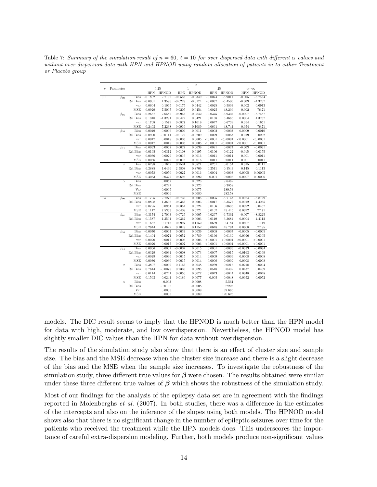Table 7: Summary of the simulation result of  $n = 60$ ,  $t = 10$  for over dispersed data with different  $\alpha$  values and without over dispersion data with HPN and HPNOD using random allocation of patients in to either Treatment or Placebo group

|          |                         |                 |                     |                  |                  | $\alpha$         |                    |                    |                       |                           |
|----------|-------------------------|-----------------|---------------------|------------------|------------------|------------------|--------------------|--------------------|-----------------------|---------------------------|
| $\sigma$ | Parameter               |                 |                     | 0.25             |                  | ī                |                    | 25                 |                       | $\alpha\rightarrow\infty$ |
|          |                         |                 | <b>HPN</b>          | <b>HPNOD</b>     | <b>HPN</b>       | <b>HPNOD</b>     | <b>HPN</b>         | <b>HPNOD</b>       | <b>HPN</b>            | <b>HPNOD</b>              |
| 0.1      | $\beta_{00}$            | Bias            | $-0.1802$           | 2.7192           | $-0.0556$        | $-0.0349$        | $-0.0074$          | $-6.9011$          | $-0.005$              | $-8.7534$                 |
|          |                         | Rel.Bias        | $-0.0901$           | 1.3596           | $-0.0278$        | $-0.0174$        | $-0.0037$          | $-3.4506$          | $-0.003$              | $-4.3767$                 |
|          |                         | var             | 0.0604              | 0.1065           | 0.0175           | 0.0442           | 0.0025             | 0.5803             | 0.002                 | 0.0913                    |
|          |                         | MSE             | 0.0929              | 7.5007           | 0.0205           | 0.0454           | 0.0025             | 48.206             | 0.002                 | 76.71                     |
|          | $\beta_{01}$            | <b>Bias</b>     | $-0.2637$           | 2.6582           | $-0.0943$        | $-0.0842$        | $-0.0375$          | $-6.9305$          | $-0.0007$             | $-8.7487$                 |
|          |                         | Rel.Bias        | 0.1318              | $-1.3291$        | 0.0472           | 0.0421           | 0.0188             | 3.4665             | 0.0004                | 4.3767                    |
|          |                         | var             | 0.1708              | 0.1579           | 0.0827           | 0.1019           | 0.0647             | 0.6739             | 0.054                 | 0.1651                    |
|          |                         | MSE             | 0.2403              | 7.2238           | 0.0916           | 0.1089           | 0.0661             | 48.741             | 0.054                 | 76.71                     |
|          | $\overline{\beta}_{10}$ | <b>Bias</b>     | $-0.0049$           | $-0.0006$        | $-0.0009$        | $-0.0011$        | 0.0002             | 0.0003             | 0.0009                | 0.0010                    |
|          |                         | Rel.Bias        | $-0.0990$           | $-0.0111$        | $-0.0179$        | $-0.0209$        | 0.0029             | 0.0053             | 0.019                 | 0.0202                    |
|          |                         | var             | 0.0017              | 0.0018           | 0.0005           | 0.0005           | < 0.0001           | < 0.0001           | < 0.0001              | < 0.0001                  |
|          |                         | MSE             | 0.0017              | 0.0018           | 0.0005           | 0.0005           | < 0.0001           | < 0.0001           | < 0.0001              | < 0.0001                  |
|          | $\beta_{11}$            | <b>Bias</b>     | $-0.0033$           | 0.0062           | 0.0022           | 0.0039           | 0.0021             | 0.0024             | $-0.003$              | $-0.0031$                 |
|          |                         | Rel.Bias        | $-0.0165$           | 0.0312           | 0.0108           | 0.0195           | 0.0106             | 0.0122             | $-0.015$              | $-0.0155$                 |
|          |                         | var             | 0.0036              | 0.0029           | 0.0016           | 0.0016           | 0.0011             | 0.0011             | 0.001                 | 0.0011                    |
|          |                         | MSE             | 0.0036              | 0.0029           | 0.0016           | 0.0016           | 0.0011             | 0.0011             | 0.001                 | 0.0011                    |
|          | $\sigma$                | <b>Bias</b>     | 0.6288              | 0.1649           | 0.2581           | 0.0871           | 0.0251             | 0.0154             | 0.015                 | 0.0111                    |
|          |                         | Rel.Bias        | 6.2885              | 1.6496           | 2.5808           | 0.8709           | 0.2511             | 0.1543             | 0.145                 | 0.1113                    |
|          |                         | var             | 0.0078              | 0.0050           | 0.0027           | 0.0016           | 0.0004             | 0.0003             | 0.0005                | 0.00005                   |
|          |                         | MSE             | 0.4033              | 0.0322           | 0.0693           | 0.0092           | 0.001              | 0.0006             | 0.0007                | 0.00006                   |
|          | $\alpha$                | <b>Bias</b>     |                     | 0.0057           |                  | 0.0223           |                    | 9.6462             |                       |                           |
|          |                         | Rel.Bias        |                     | 0.0227           |                  | 0.0223           |                    | 0.3858             |                       |                           |
|          |                         | Var             |                     | 0.0005           |                  | 0.0075           |                    | 189.53             |                       |                           |
|          |                         | MSE             |                     | 0.0006           |                  | 0.0080           |                    | 282.58             |                       |                           |
| 0.5      | $\beta_{00}$            | <b>Bias</b>     | $-0.1795$           | 2.7272           | $-0.0730$        | 0.0005           | $-0.0095$          | $-6.7143$          | 0.0024                | $-8.8129$                 |
|          |                         | Rel.Bias        | $-0.0898$           | 1.3636           | $-0.0365$        | 0.0003           | $-0.0047$          | $-3.3572$          | 0.0012                | $-4.4065$                 |
|          |                         | var             | 0.0795              | 0.0984           | 0.0354           | 0.0724           | 0.0106             | 0.3633             | 0.0092                | 0.0467                    |
|          |                         | MSE             | 0.1117              | 7.5363           | 0.0408           | 0.0724           | 0.0107             | 45.445             | 0.0092                | 77.71                     |
|          | $\beta_{01}$            | Bias            | $-0.3174$           | 2.7003           | $-0.0725$        | 0.0005           | $-0.0297$          | $-6.7362$          | $-0.007$              | $-8.8225$                 |
|          |                         | Rel.Bias        | 0.1587              | $-1.3501$        | 0.0362           | $-0.0003$        | 0.0149             | 3.3681             | 0.0004                | 4.4112                    |
|          |                         | var             | 0.1637              | 0.1716           | 0.0997           | 0.1152           | 0.0639             | 0.4184             | 0.0607                | 0.1119                    |
|          |                         | MSE             | 0.2644              | 7.4629           | 0.1049           | 0.1152           | 0.0648             | 45.794             | 0.0608                | 77.95                     |
|          | $\beta_{10}$            | <b>Bias</b>     | $-0.0070$           | 0.0004           | 0.0033           | 0.0039           | 0.0008             | 0.0007             | $-0.0005$             | $-0.0005$                 |
|          |                         | Rel.Bias<br>var | $-0.1404$<br>0.0020 | 0.0071<br>0.0017 | 0.0652<br>0.0006 | 0.0789<br>0.0006 | 0.0166<br>< 0.0001 | 0.0139<br>< 0.0001 | $-0.0096$<br>< 0.0001 | $-0.0105$<br>< 0.0001     |
|          |                         | MSE             | 0.0020              | 0.0017           | 0.0007           | 0.0006           | < 0.0001           | < 0.0001           | < 0.0001              | < 0.0001                  |
|          |                         | Bias            | 0.0066              | 0.0007           | $-0.0002$        | 0.0015           | 0.0001             | 0.0003             | $-0.0033$             | $-0.0034$                 |
|          | $\beta_{11}$            | Rel.Bias        | 0.0329              | 0.0034           | $-0.0008$        | 0.0073           | 0.0007             | 0.0015             | $-0.0163$             | $-0.0169$                 |
|          |                         | var             | 0.0029              | 0.0030           | 0.0015           | 0.0014           | 0.0009             | 0.0009             | 0.0008                | 0.0008                    |
|          |                         | MSE             | 0.0030              | 0.0030           | 0.0015           | 0.0014           | 0.0009             | 0.0009             | 0.0008                | 0.0008                    |
|          |                         | Bias            | 0.3807              | $-0.0039$        | 0.1165           | 0.0048           | 0.0259             | 0.0216             | 0.0218                | 0.0204                    |
|          | $\sigma$                | Rel.Bias        | 0.7614              | $-0.0078$        | 0.2330           | 0.0095           | 0.0518             | 0.0432             | 0.0437                | 0.0409                    |
|          |                         | var             | 0.0114              | 0.0241           | 0.0050           | 0.0077           | 0.0043             | 0.0044             | 0.0048                | 0.0048                    |
|          |                         | MSE             | 0.1563              | 0.0241           | 0.0186           | 0.0077           | 0.005              | 0.0048             | 0.0052                | 0.0052                    |
|          | $\alpha$                | Bias            |                     | $-0.003$         |                  | $-0.0008$        |                    | 5.564              |                       |                           |
|          |                         | Rel.Bias        |                     | $-0.0102$        |                  | $-0.0008$        |                    | 0.2226             |                       |                           |
|          |                         | Var             |                     | 0.0005           |                  | 0.0089           |                    | 89.665             |                       |                           |
|          |                         | MSE             |                     | 0.0005           |                  | 0.0089           |                    | 120.623            |                       |                           |
|          |                         |                 |                     |                  |                  |                  |                    |                    |                       |                           |

models. The DIC result seems to imply that the HPNOD is much better than the HPN model for data with high, moderate, and low overdispersion. Nevertheless, the HPNOD model has slightly smaller DIC values than the HPN for data without overdispersion.

The results of the simulation study also show that there is an effect of cluster size and sample size. The bias and the MSE decrease when the cluster size increase and there is a slight decrease of the bias and the MSE when the sample size increases. To investigate the robustness of the simulation study, three different true values for  $\beta$  were chosen. The results obtained were similar under these three different true values of  $\beta$  which shows the robustness of the simulation study.

Most of our findings for the analysis of the epilepsy data set are in agreement with the findings reported in Molenberghs *et al.* (2007). In both studies, there was a difference in the estimates of the intercepts and also on the inference of the slopes using both models. The HPNOD model shows also that there is no significant change in the number of epileptic seizures over time for the patients who received the treatment while the HPN models does. This underscores the importance of careful extra-dispersion modeling. Further, both models produce non-significant values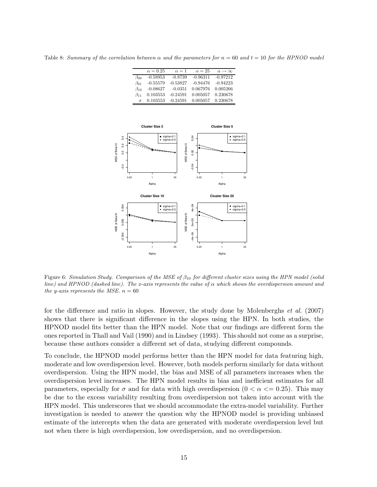Table 8: Summary of the correlation between  $\alpha$  and the parameters for  $n = 60$  and  $t = 10$  for the HPNOD model

|              | $\alpha = 0.25$ | $\alpha=1$ | $\alpha = 25$ | $\alpha \rightarrow \infty$ |
|--------------|-----------------|------------|---------------|-----------------------------|
| $\beta_{00}$ | $-0.58953$      | $-0.8739$  | $-0.96311$    | $-0.97212$                  |
| $\beta_{01}$ | $-0.55579$      | $-0.53827$ | $-0.94476$    | $-0.94223$                  |
| $\beta_{10}$ | $-0.08627$      | $-0.0351$  | 0.067976      | 0.005266                    |
| $\beta_{11}$ | 0.103553        | $-0.24591$ | 0.005057      | 0.230678                    |
| $\sigma$     | 0.103553        | $-0.24591$ | 0.005057      | 0.230678                    |



Figure 6: Simulation Study. Comparison of the MSE of  $\beta_{10}$  for different cluster sizes using the HPN model (solid line) and HPNOD (dashed line). The x-axis represents the value of  $\alpha$  which shows the overdispersion amount and the y-axis represents the MSE.  $n = 60$ 

for the difference and ratio in slopes. However, the study done by Molenberghs et al. (2007) shows that there is significant difference in the slopes using the HPN. In both studies, the HPNOD model fits better than the HPN model. Note that our findings are different form the ones reported in Thall and Vail (1990) and in Lindsey (1993). This should not come as a surprise, because these authors consider a different set of data, studying different compounds.

To conclude, the HPNOD model performs better than the HPN model for data featuring high, moderate and low overdispersion level. However, both models perform similarly for data without overdispersion. Using the HPN model, the bias and MSE of all parameters increases when the overdispersion level increases. The HPN model results in bias and inefficient estimates for all parameters, especially for  $\sigma$  and for data with high overdispersion  $(0 < \alpha \leq 0.25)$ . This may be due to the excess variability resulting from overdispersion not taken into account with the HPN model. This underscores that we should accommodate the extra-model variability. Further investigation is needed to answer the question why the HPNOD model is providing unbiased estimate of the intercepts when the data are generated with moderate overdispersion level but not when there is high overdispersion, low overdispersion, and no overdispersion.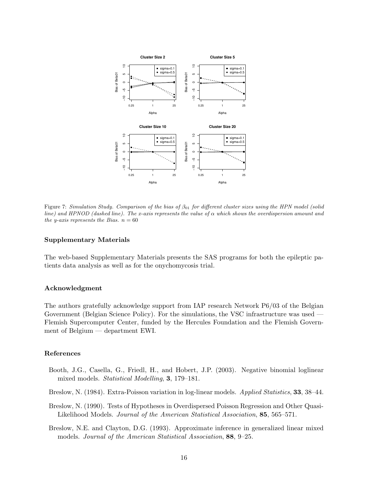

Figure 7: Simulation Study. Comparison of the bias of  $\beta_{01}$  for different cluster sizes using the HPN model (solid line) and HPNOD (dashed line). The x-axis represents the value of  $\alpha$  which shows the overdispersion amount and the y-axis represents the Bias.  $n = 60$ 

## Supplementary Materials

The web-based Supplementary Materials presents the SAS programs for both the epileptic patients data analysis as well as for the onychomycosis trial.

#### Acknowledgment

The authors gratefully acknowledge support from IAP research Network P6/03 of the Belgian Government (Belgian Science Policy). For the simulations, the VSC infrastructure was used — Flemish Supercomputer Center, funded by the Hercules Foundation and the Flemish Government of Belgium — department EWI.

#### References

- Booth, J.G., Casella, G., Friedl, H., and Hobert, J.P. (2003). Negative binomial loglinear mixed models. Statistical Modelling, 3, 179–181.
- Breslow, N. (1984). Extra-Poisson variation in log-linear models. Applied Statistics, 33, 38–44.
- Breslow, N. (1990). Tests of Hypotheses in Overdispersed Poisson Regression and Other Quasi-Likelihood Models. Journal of the American Statistical Association, 85, 565–571.
- Breslow, N.E. and Clayton, D.G. (1993). Approximate inference in generalized linear mixed models. Journal of the American Statistical Association, 88, 9–25.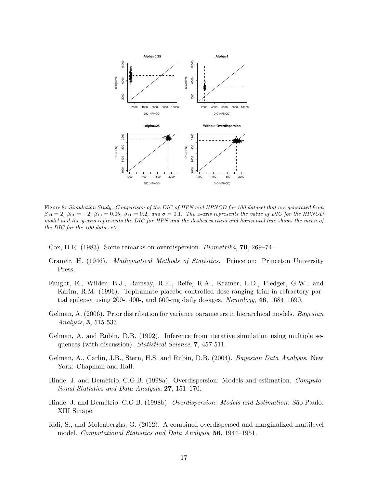

Figure 8: Simulation Study. Comparison of the DIC of HPN and HPNOD for 100 dataset that are generated from  $\beta_{00} = 2$ ,  $\beta_{01} = -2$ ,  $\beta_{10} = 0.05$ ,  $\beta_{11} = 0.2$ , and  $\sigma = 0.1$ . The x-axis represents the value of DIC for the HPNOD model and the y-axis represents the DIC for HPN and the dashed vertical and horizontal line shows the mean of the DIC for the 100 data sets.

Cox, D.R. (1983). Some remarks on overdispersion. Biometrika, 70, 269–74.

- Cramér, H. (1946). *Mathematical Methods of Statistics.* Princeton: Princeton University Press.
- Faught, E., Wilder, B.J., Ramsay, R.E., Reife, R.A., Kramer, L.D., Pledger, G.W., and Karim, R.M. (1996). Topiramate placebo-controlled dose-ranging trial in refractory partial epilepsy using 200-, 400-, and 600-mg daily dosages. Neurology,  $46, 1684-1690$ .
- Gelman, A. (2006). Prior distribution for variance parameters in hierarchical models. Bayesian Analysis, 3, 515-533.
- Gelman, A. and Rubin, D.B. (1992). Inference from iterative simulation using multiple sequences (with discussion). Statistical Science, 7, 457-511.
- Gelman, A., Carlin, J.B., Stern, H.S, and Rubin, D.B. (2004). Bayesian Data Analysis. New York: Chapman and Hall.
- Hinde, J. and Demétrio, C.G.B. (1998a). Overdispersion: Models and estimation. Computational Statistics and Data Analysis, 27, 151–170.
- Hinde, J. and Demétrio, C.G.B. (1998b). *Overdispersion: Models and Estimation*. São Paulo: XIII Sinape.
- Iddi, S., and Molenberghs, G. (2012). A combined overdispersed and marginalized multilevel model. Computational Statistics and Data Analysis, 56, 1944–1951.